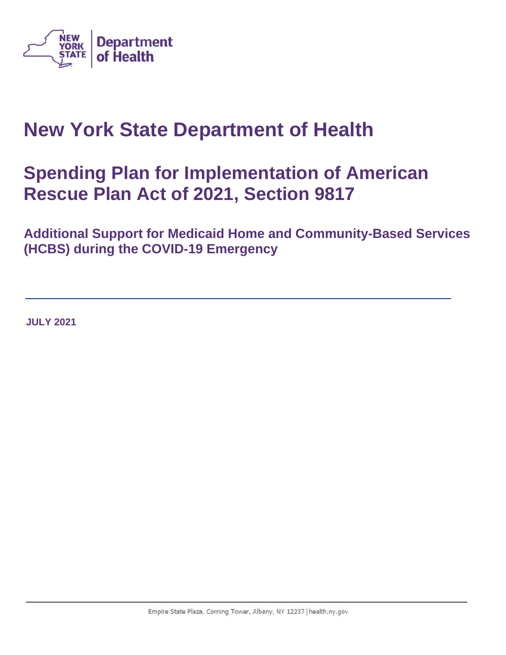

# **New York State Department of Health**

# **Spending Plan for Implementation of American Rescue Plan Act of 2021, Section 9817**

**Additional Support for Medicaid Home and Community-Based Services (HCBS) during the COVID-19 Emergency**

**JULY 2021**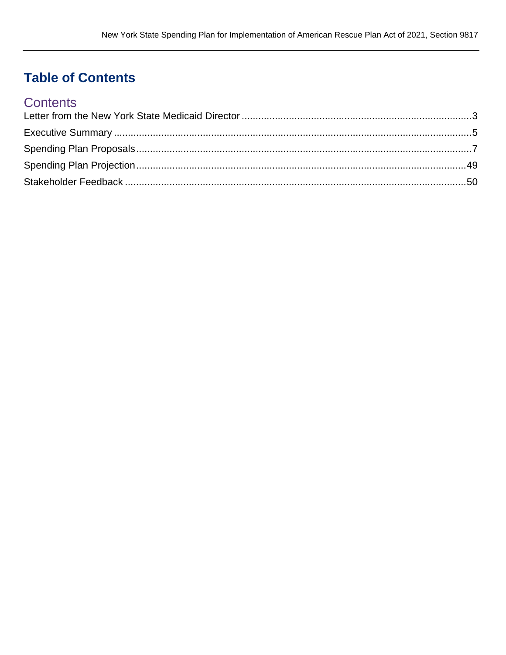## **Table of Contents**

## **Contents**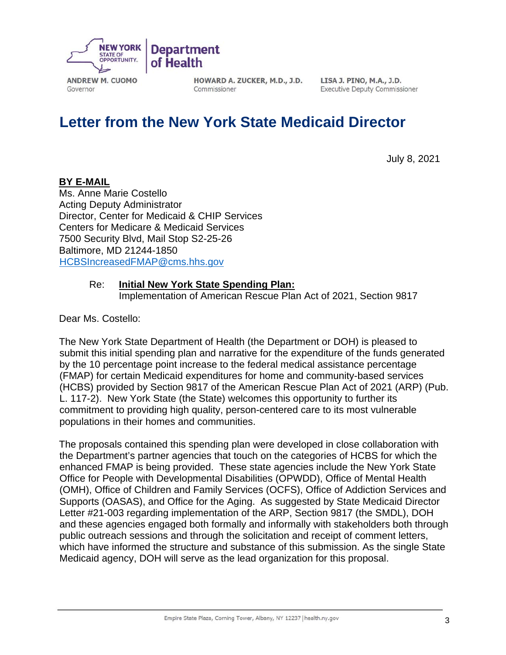

HOWARD A. ZUCKER, M.D., J.D. Commissioner

LISA J. PINO, M.A., J.D. **Executive Deputy Commissioner** 

## **Letter from the New York State Medicaid Director**

July 8, 2021

#### **BY E-MAIL**

Governor

Ms. Anne Marie Costello Acting Deputy Administrator Director, Center for Medicaid & CHIP Services Centers for Medicare & Medicaid Services 7500 Security Blvd, Mail Stop S2-25-26 Baltimore, MD 21244-1850 HCBSIncreasedFMAP@cms.hhs.gov

#### Re: **Initial New York State Spending Plan:**

Implementation of American Rescue Plan Act of 2021, Section 9817

Dear Ms. Costello:

The New York State Department of Health (the Department or DOH) is pleased to submit this initial spending plan and narrative for the expenditure of the funds generated by the 10 percentage point increase to the federal medical assistance percentage (FMAP) for certain Medicaid expenditures for home and community-based services (HCBS) provided by Section 9817 of the American Rescue Plan Act of 2021 (ARP) (Pub. L. 117-2). New York State (the State) welcomes this opportunity to further its commitment to providing high quality, person-centered care to its most vulnerable populations in their homes and communities.

The proposals contained this spending plan were developed in close collaboration with the Department's partner agencies that touch on the categories of HCBS for which the enhanced FMAP is being provided. These state agencies include the New York State Office for People with Developmental Disabilities (OPWDD), Office of Mental Health (OMH), Office of Children and Family Services (OCFS), Office of Addiction Services and Supports (OASAS), and Office for the Aging. As suggested by State Medicaid Director Letter #21-003 regarding implementation of the ARP, Section 9817 (the SMDL), DOH and these agencies engaged both formally and informally with stakeholders both through public outreach sessions and through the solicitation and receipt of comment letters, which have informed the structure and substance of this submission. As the single State Medicaid agency, DOH will serve as the lead organization for this proposal.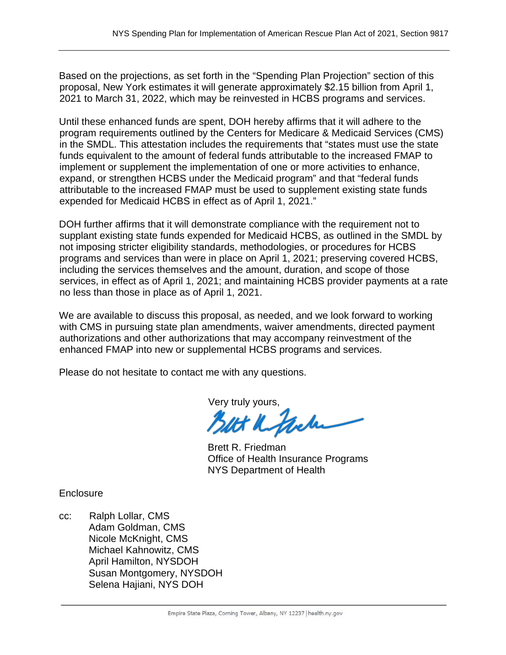Based on the projections, as set forth in the "Spending Plan Projection" section of this proposal, New York estimates it will generate approximately \$2.15 billion from April 1, 2021 to March 31, 2022, which may be reinvested in HCBS programs and services.

Until these enhanced funds are spent, DOH hereby affirms that it will adhere to the program requirements outlined by the Centers for Medicare & Medicaid Services (CMS) in the SMDL. This attestation includes the requirements that "states must use the state funds equivalent to the amount of federal funds attributable to the increased FMAP to implement or supplement the implementation of one or more activities to enhance, expand, or strengthen HCBS under the Medicaid program" and that "federal funds attributable to the increased FMAP must be used to supplement existing state funds expended for Medicaid HCBS in effect as of April 1, 2021."

DOH further affirms that it will demonstrate compliance with the requirement not to supplant existing state funds expended for Medicaid HCBS, as outlined in the SMDL by not imposing stricter eligibility standards, methodologies, or procedures for HCBS programs and services than were in place on April 1, 2021; preserving covered HCBS, including the services themselves and the amount, duration, and scope of those services, in effect as of April 1, 2021; and maintaining HCBS provider payments at a rate no less than those in place as of April 1, 2021.

We are available to discuss this proposal, as needed, and we look forward to working with CMS in pursuing state plan amendments, waiver amendments, directed payment authorizations and other authorizations that may accompany reinvestment of the enhanced FMAP into new or supplemental HCBS programs and services.

Please do not hesitate to contact me with any questions.

Very truly yours,<br>**Blitt K. Perche** 

Brett R. Friedman Office of Health Insurance Programs NYS Department of Health

**Enclosure** 

cc: Ralph Lollar, CMS Adam Goldman, CMS Nicole McKnight, CMS Michael Kahnowitz, CMS April Hamilton, NYSDOH Susan Montgomery, NYSDOH Selena Hajiani, NYS DOH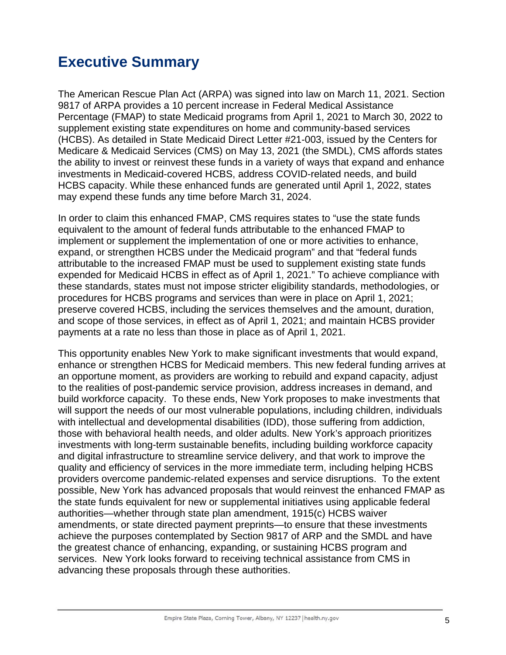## **Executive Summary**

The American Rescue Plan Act (ARPA) was signed into law on March 11, 2021. Section 9817 of ARPA provides a 10 percent increase in Federal Medical Assistance Percentage (FMAP) to state Medicaid programs from April 1, 2021 to March 30, 2022 to supplement existing state expenditures on home and community-based services (HCBS). As detailed in State Medicaid Direct Letter #21-003, issued by the Centers for Medicare & Medicaid Services (CMS) on May 13, 2021 (the SMDL), CMS affords states the ability to invest or reinvest these funds in a variety of ways that expand and enhance investments in Medicaid-covered HCBS, address COVID-related needs, and build HCBS capacity. While these enhanced funds are generated until April 1, 2022, states may expend these funds any time before March 31, 2024.

In order to claim this enhanced FMAP, CMS requires states to "use the state funds equivalent to the amount of federal funds attributable to the enhanced FMAP to implement or supplement the implementation of one or more activities to enhance, expand, or strengthen HCBS under the Medicaid program" and that "federal funds attributable to the increased FMAP must be used to supplement existing state funds expended for Medicaid HCBS in effect as of April 1, 2021." To achieve compliance with these standards, states must not impose stricter eligibility standards, methodologies, or procedures for HCBS programs and services than were in place on April 1, 2021; preserve covered HCBS, including the services themselves and the amount, duration, and scope of those services, in effect as of April 1, 2021; and maintain HCBS provider payments at a rate no less than those in place as of April 1, 2021.

This opportunity enables New York to make significant investments that would expand, enhance or strengthen HCBS for Medicaid members. This new federal funding arrives at an opportune moment, as providers are working to rebuild and expand capacity, adjust to the realities of post-pandemic service provision, address increases in demand, and build workforce capacity. To these ends, New York proposes to make investments that will support the needs of our most vulnerable populations, including children, individuals with intellectual and developmental disabilities (IDD), those suffering from addiction, those with behavioral health needs, and older adults. New York's approach prioritizes investments with long-term sustainable benefits, including building workforce capacity and digital infrastructure to streamline service delivery, and that work to improve the quality and efficiency of services in the more immediate term, including helping HCBS providers overcome pandemic-related expenses and service disruptions. To the extent possible, New York has advanced proposals that would reinvest the enhanced FMAP as the state funds equivalent for new or supplemental initiatives using applicable federal authorities—whether through state plan amendment, 1915(c) HCBS waiver amendments, or state directed payment preprints—to ensure that these investments achieve the purposes contemplated by Section 9817 of ARP and the SMDL and have the greatest chance of enhancing, expanding, or sustaining HCBS program and services. New York looks forward to receiving technical assistance from CMS in advancing these proposals through these authorities.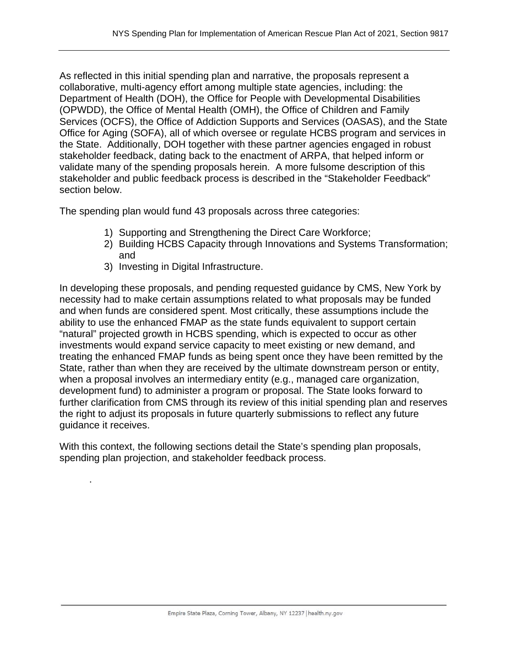As reflected in this initial spending plan and narrative, the proposals represent a collaborative, multi-agency effort among multiple state agencies, including: the Department of Health (DOH), the Office for People with Developmental Disabilities (OPWDD), the Office of Mental Health (OMH), the Office of Children and Family Services (OCFS), the Office of Addiction Supports and Services (OASAS), and the State Office for Aging (SOFA), all of which oversee or regulate HCBS program and services in the State. Additionally, DOH together with these partner agencies engaged in robust stakeholder feedback, dating back to the enactment of ARPA, that helped inform or validate many of the spending proposals herein. A more fulsome description of this stakeholder and public feedback process is described in the "Stakeholder Feedback" section below.

The spending plan would fund 43 proposals across three categories:

- 1) Supporting and Strengthening the Direct Care Workforce;
- 2) Building HCBS Capacity through Innovations and Systems Transformation; and
- 3) Investing in Digital Infrastructure.

.

In developing these proposals, and pending requested guidance by CMS, New York by necessity had to make certain assumptions related to what proposals may be funded and when funds are considered spent. Most critically, these assumptions include the ability to use the enhanced FMAP as the state funds equivalent to support certain "natural" projected growth in HCBS spending, which is expected to occur as other investments would expand service capacity to meet existing or new demand, and treating the enhanced FMAP funds as being spent once they have been remitted by the State, rather than when they are received by the ultimate downstream person or entity, when a proposal involves an intermediary entity (e.g., managed care organization, development fund) to administer a program or proposal. The State looks forward to further clarification from CMS through its review of this initial spending plan and reserves the right to adjust its proposals in future quarterly submissions to reflect any future guidance it receives.

With this context, the following sections detail the State's spending plan proposals, spending plan projection, and stakeholder feedback process.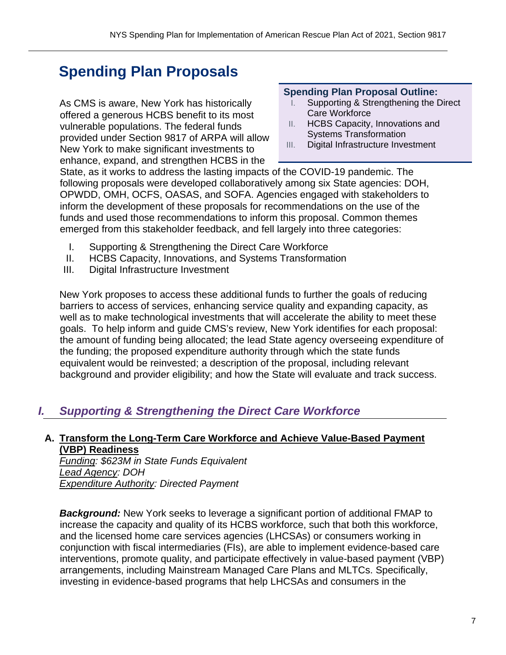## **Spending Plan Proposals**

As CMS is aware, New York has historically offered a generous HCBS benefit to its most vulnerable populations. The federal funds provided under Section 9817 of ARPA will allow New York to make significant investments to enhance, expand, and strengthen HCBS in the

#### **Spending Plan Proposal Outline:**

- I. Supporting & Strengthening the Direct Care Workforce
- II. HCBS Capacity, Innovations and Systems Transformation
- III. Digital Infrastructure Investment

State, as it works to address the lasting impacts of the COVID-19 pandemic. The following proposals were developed collaboratively among six State agencies: DOH, OPWDD, OMH, OCFS, OASAS, and SOFA. Agencies engaged with stakeholders to inform the development of these proposals for recommendations on the use of the funds and used those recommendations to inform this proposal. Common themes emerged from this stakeholder feedback, and fell largely into three categories:

- I. Supporting & Strengthening the Direct Care Workforce
- II. HCBS Capacity, Innovations, and Systems Transformation
- III. Digital Infrastructure Investment

New York proposes to access these additional funds to further the goals of reducing barriers to access of services, enhancing service quality and expanding capacity, as well as to make technological investments that will accelerate the ability to meet these goals. To help inform and guide CMS's review, New York identifies for each proposal: the amount of funding being allocated; the lead State agency overseeing expenditure of the funding; the proposed expenditure authority through which the state funds equivalent would be reinvested; a description of the proposal, including relevant background and provider eligibility; and how the State will evaluate and track success.

## *I. Supporting & Strengthening the Direct Care Workforce*

#### **A. Transform the Long-Term Care Workforce and Achieve Value-Based Payment (VBP) Readiness**

*Funding: \$623M in State Funds Equivalent Lead Agency: DOH Expenditure Authority: Directed Payment* 

**Background:** New York seeks to leverage a significant portion of additional FMAP to increase the capacity and quality of its HCBS workforce, such that both this workforce, and the licensed home care services agencies (LHCSAs) or consumers working in conjunction with fiscal intermediaries (FIs), are able to implement evidence-based care interventions, promote quality, and participate effectively in value-based payment (VBP) arrangements, including Mainstream Managed Care Plans and MLTCs. Specifically, investing in evidence-based programs that help LHCSAs and consumers in the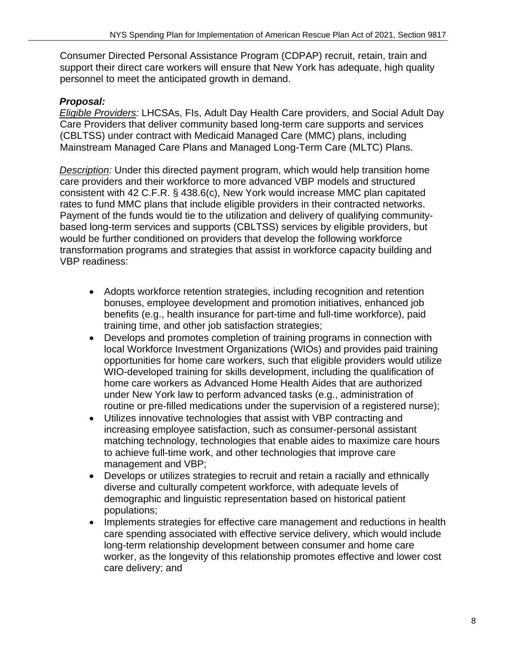Consumer Directed Personal Assistance Program (CDPAP) recruit, retain, train and support their direct care workers will ensure that New York has adequate, high quality personnel to meet the anticipated growth in demand.

## *Proposal:*

*Eligible Providers:* LHCSAs, FIs, Adult Day Health Care providers, and Social Adult Day Care Providers that deliver community based long-term care supports and services (CBLTSS) under contract with Medicaid Managed Care (MMC) plans, including Mainstream Managed Care Plans and Managed Long-Term Care (MLTC) Plans.

*Description:* Under this directed payment program, which would help transition home care providers and their workforce to more advanced VBP models and structured consistent with 42 C.F.R. § 438.6(c), New York would increase MMC plan capitated rates to fund MMC plans that include eligible providers in their contracted networks. Payment of the funds would tie to the utilization and delivery of qualifying communitybased long-term services and supports (CBLTSS) services by eligible providers, but would be further conditioned on providers that develop the following workforce transformation programs and strategies that assist in workforce capacity building and VBP readiness:

- Adopts workforce retention strategies, including recognition and retention bonuses, employee development and promotion initiatives, enhanced job benefits (e.g., health insurance for part-time and full-time workforce), paid training time, and other job satisfaction strategies;
- Develops and promotes completion of training programs in connection with local Workforce Investment Organizations (WIOs) and provides paid training opportunities for home care workers, such that eligible providers would utilize WIO-developed training for skills development, including the qualification of home care workers as Advanced Home Health Aides that are authorized under New York law to perform advanced tasks (e.g., administration of routine or pre-filled medications under the supervision of a registered nurse);
- Utilizes innovative technologies that assist with VBP contracting and increasing employee satisfaction, such as consumer-personal assistant matching technology, technologies that enable aides to maximize care hours to achieve full-time work, and other technologies that improve care management and VBP;
- Develops or utilizes strategies to recruit and retain a racially and ethnically diverse and culturally competent workforce, with adequate levels of demographic and linguistic representation based on historical patient populations;
- Implements strategies for effective care management and reductions in health care spending associated with effective service delivery, which would include long-term relationship development between consumer and home care worker, as the longevity of this relationship promotes effective and lower cost care delivery; and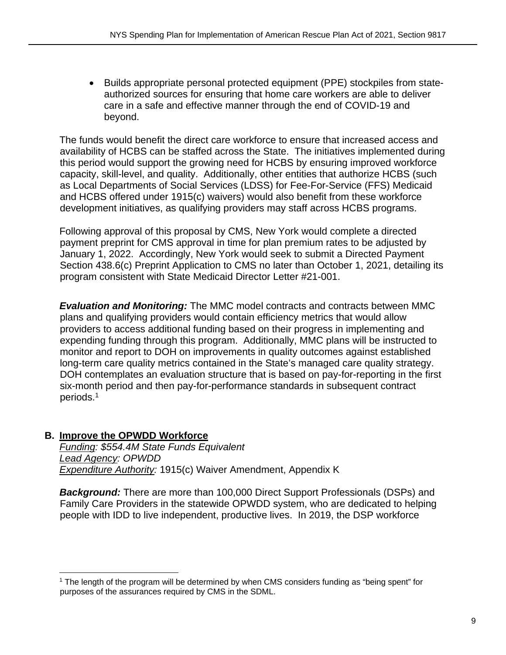Builds appropriate personal protected equipment (PPE) stockpiles from stateauthorized sources for ensuring that home care workers are able to deliver care in a safe and effective manner through the end of COVID-19 and beyond.

The funds would benefit the direct care workforce to ensure that increased access and availability of HCBS can be staffed across the State. The initiatives implemented during this period would support the growing need for HCBS by ensuring improved workforce capacity, skill-level, and quality. Additionally, other entities that authorize HCBS (such as Local Departments of Social Services (LDSS) for Fee-For-Service (FFS) Medicaid and HCBS offered under 1915(c) waivers) would also benefit from these workforce development initiatives, as qualifying providers may staff across HCBS programs.

Following approval of this proposal by CMS, New York would complete a directed payment preprint for CMS approval in time for plan premium rates to be adjusted by January 1, 2022. Accordingly, New York would seek to submit a Directed Payment Section 438.6(c) Preprint Application to CMS no later than October 1, 2021, detailing its program consistent with State Medicaid Director Letter #21-001.

*Evaluation and Monitoring:* The MMC model contracts and contracts between MMC plans and qualifying providers would contain efficiency metrics that would allow providers to access additional funding based on their progress in implementing and expending funding through this program. Additionally, MMC plans will be instructed to monitor and report to DOH on improvements in quality outcomes against established long-term care quality metrics contained in the State's managed care quality strategy. DOH contemplates an evaluation structure that is based on pay-for-reporting in the first six-month period and then pay-for-performance standards in subsequent contract periods.1

#### **B. Improve the OPWDD Workforce**

*Funding: \$554.4M State Funds Equivalent Lead Agency: OPWDD Expenditure Authority:* 1915(c) Waiver Amendment, Appendix K

*Background:* There are more than 100,000 Direct Support Professionals (DSPs) and Family Care Providers in the statewide OPWDD system, who are dedicated to helping people with IDD to live independent, productive lives. In 2019, the DSP workforce

<sup>&</sup>lt;sup>1</sup> The length of the program will be determined by when CMS considers funding as "being spent" for purposes of the assurances required by CMS in the SDML.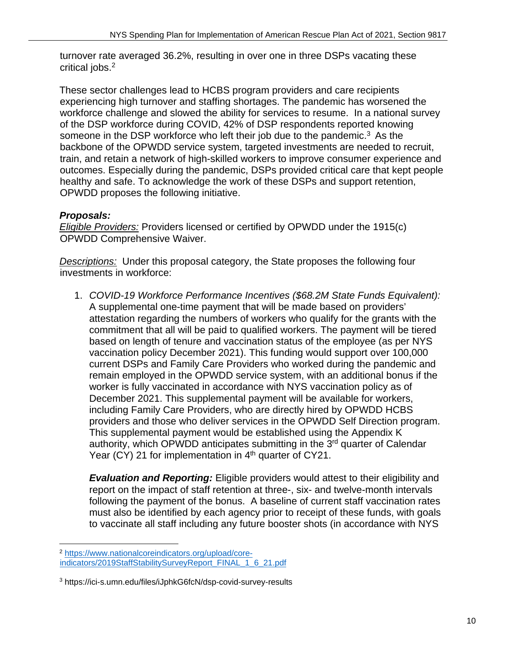turnover rate averaged 36.2%, resulting in over one in three DSPs vacating these critical jobs.2

These sector challenges lead to HCBS program providers and care recipients experiencing high turnover and staffing shortages. The pandemic has worsened the workforce challenge and slowed the ability for services to resume. In a national survey of the DSP workforce during COVID, 42% of DSP respondents reported knowing someone in the DSP workforce who left their job due to the pandemic.<sup>3</sup> As the backbone of the OPWDD service system, targeted investments are needed to recruit, train, and retain a network of high-skilled workers to improve consumer experience and outcomes. Especially during the pandemic, DSPs provided critical care that kept people healthy and safe. To acknowledge the work of these DSPs and support retention, OPWDD proposes the following initiative.

## *Proposals:*

*Eligible Providers:* Providers licensed or certified by OPWDD under the 1915(c) OPWDD Comprehensive Waiver.

*Descriptions:* Under this proposal category, the State proposes the following four investments in workforce:

1. *COVID-19 Workforce Performance Incentives (\$68.2M State Funds Equivalent):*  A supplemental one-time payment that will be made based on providers' attestation regarding the numbers of workers who qualify for the grants with the commitment that all will be paid to qualified workers. The payment will be tiered based on length of tenure and vaccination status of the employee (as per NYS vaccination policy December 2021). This funding would support over 100,000 current DSPs and Family Care Providers who worked during the pandemic and remain employed in the OPWDD service system, with an additional bonus if the worker is fully vaccinated in accordance with NYS vaccination policy as of December 2021. This supplemental payment will be available for workers, including Family Care Providers, who are directly hired by OPWDD HCBS providers and those who deliver services in the OPWDD Self Direction program. This supplemental payment would be established using the Appendix K authority, which OPWDD anticipates submitting in the 3<sup>rd</sup> quarter of Calendar Year (CY) 21 for implementation in 4<sup>th</sup> quarter of CY21.

*Evaluation and Reporting:* Eligible providers would attest to their eligibility and report on the impact of staff retention at three-, six- and twelve-month intervals following the payment of the bonus. A baseline of current staff vaccination rates must also be identified by each agency prior to receipt of these funds, with goals to vaccinate all staff including any future booster shots (in accordance with NYS

<sup>2</sup> https://www.nationalcoreindicators.org/upload/coreindicators/2019StaffStabilitySurveyReport\_FINAL\_1\_6\_21.pdf

<sup>3</sup> https://ici-s.umn.edu/files/iJphkG6fcN/dsp-covid-survey-results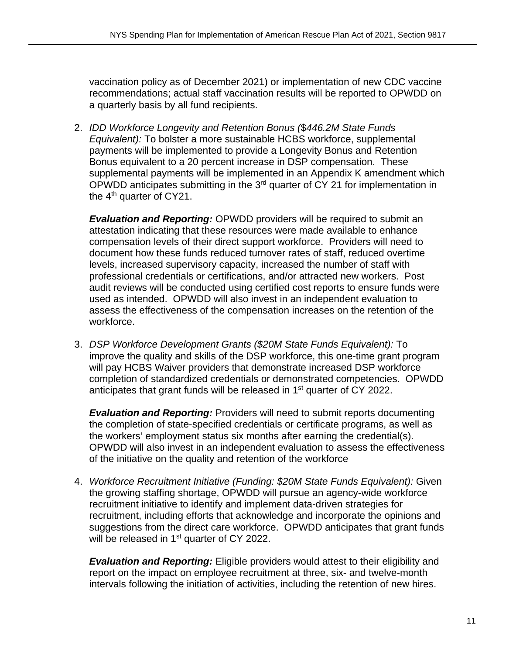vaccination policy as of December 2021) or implementation of new CDC vaccine recommendations; actual staff vaccination results will be reported to OPWDD on a quarterly basis by all fund recipients.

2. *IDD Workforce Longevity and Retention Bonus (*\$*446.2M State Funds Equivalent):* To bolster a more sustainable HCBS workforce, supplemental payments will be implemented to provide a Longevity Bonus and Retention Bonus equivalent to a 20 percent increase in DSP compensation. These supplemental payments will be implemented in an Appendix K amendment which OPWDD anticipates submitting in the 3rd quarter of CY 21 for implementation in the  $4<sup>th</sup>$  quarter of CY21.

*Evaluation and Reporting:* OPWDD providers will be required to submit an attestation indicating that these resources were made available to enhance compensation levels of their direct support workforce. Providers will need to document how these funds reduced turnover rates of staff, reduced overtime levels, increased supervisory capacity, increased the number of staff with professional credentials or certifications, and/or attracted new workers. Post audit reviews will be conducted using certified cost reports to ensure funds were used as intended. OPWDD will also invest in an independent evaluation to assess the effectiveness of the compensation increases on the retention of the workforce.

3. *DSP Workforce Development Grants (\$20M State Funds Equivalent):* To improve the quality and skills of the DSP workforce, this one-time grant program will pay HCBS Waiver providers that demonstrate increased DSP workforce completion of standardized credentials or demonstrated competencies. OPWDD anticipates that grant funds will be released in 1<sup>st</sup> quarter of CY 2022.

*Evaluation and Reporting:* Providers will need to submit reports documenting the completion of state-specified credentials or certificate programs, as well as the workers' employment status six months after earning the credential(s). OPWDD will also invest in an independent evaluation to assess the effectiveness of the initiative on the quality and retention of the workforce

4. *Workforce Recruitment Initiative (Funding: \$20M State Funds Equivalent):* Given the growing staffing shortage, OPWDD will pursue an agency-wide workforce recruitment initiative to identify and implement data-driven strategies for recruitment, including efforts that acknowledge and incorporate the opinions and suggestions from the direct care workforce. OPWDD anticipates that grant funds will be released in 1<sup>st</sup> quarter of CY 2022.

*Evaluation and Reporting:* Eligible providers would attest to their eligibility and report on the impact on employee recruitment at three, six- and twelve-month intervals following the initiation of activities, including the retention of new hires.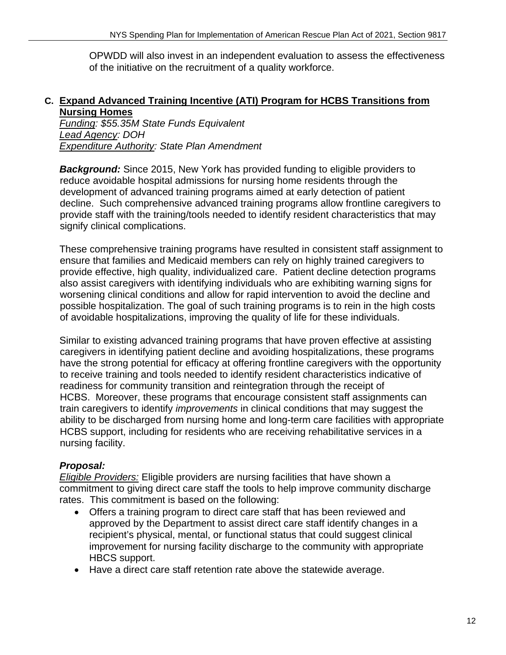OPWDD will also invest in an independent evaluation to assess the effectiveness of the initiative on the recruitment of a quality workforce.

#### **C. Expand Advanced Training Incentive (ATI) Program for HCBS Transitions from Nursing Homes**

*Funding: \$55.35M State Funds Equivalent Lead Agency: DOH Expenditure Authority: State Plan Amendment* 

**Background:** Since 2015, New York has provided funding to eligible providers to reduce avoidable hospital admissions for nursing home residents through the development of advanced training programs aimed at early detection of patient decline. Such comprehensive advanced training programs allow frontline caregivers to provide staff with the training/tools needed to identify resident characteristics that may signify clinical complications.

These comprehensive training programs have resulted in consistent staff assignment to ensure that families and Medicaid members can rely on highly trained caregivers to provide effective, high quality, individualized care. Patient decline detection programs also assist caregivers with identifying individuals who are exhibiting warning signs for worsening clinical conditions and allow for rapid intervention to avoid the decline and possible hospitalization. The goal of such training programs is to rein in the high costs of avoidable hospitalizations, improving the quality of life for these individuals.

Similar to existing advanced training programs that have proven effective at assisting caregivers in identifying patient decline and avoiding hospitalizations, these programs have the strong potential for efficacy at offering frontline caregivers with the opportunity to receive training and tools needed to identify resident characteristics indicative of readiness for community transition and reintegration through the receipt of HCBS. Moreover, these programs that encourage consistent staff assignments can train caregivers to identify *improvements* in clinical conditions that may suggest the ability to be discharged from nursing home and long-term care facilities with appropriate HCBS support, including for residents who are receiving rehabilitative services in a nursing facility.

## *Proposal:*

*Eligible Providers:* Eligible providers are nursing facilities that have shown a commitment to giving direct care staff the tools to help improve community discharge rates. This commitment is based on the following:

- Offers a training program to direct care staff that has been reviewed and approved by the Department to assist direct care staff identify changes in a recipient's physical, mental, or functional status that could suggest clinical improvement for nursing facility discharge to the community with appropriate HBCS support.
- Have a direct care staff retention rate above the statewide average.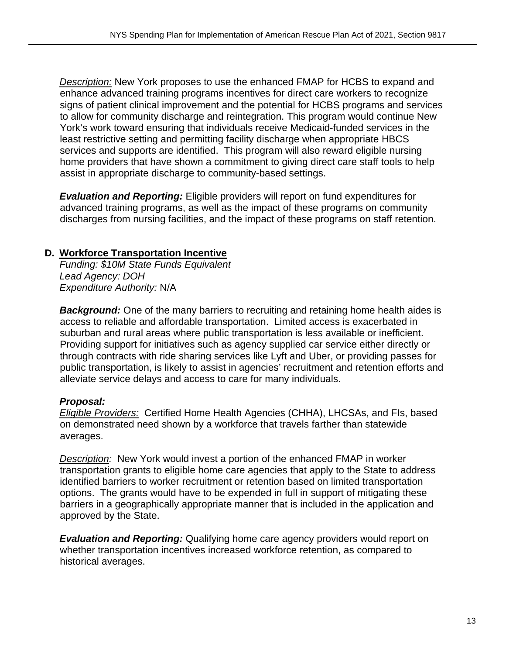*Description:* New York proposes to use the enhanced FMAP for HCBS to expand and enhance advanced training programs incentives for direct care workers to recognize signs of patient clinical improvement and the potential for HCBS programs and services to allow for community discharge and reintegration. This program would continue New York's work toward ensuring that individuals receive Medicaid-funded services in the least restrictive setting and permitting facility discharge when appropriate HBCS services and supports are identified. This program will also reward eligible nursing home providers that have shown a commitment to giving direct care staff tools to help assist in appropriate discharge to community-based settings.

*Evaluation and Reporting:* Eligible providers will report on fund expenditures for advanced training programs, as well as the impact of these programs on community discharges from nursing facilities, and the impact of these programs on staff retention.

#### **D. Workforce Transportation Incentive**

*Funding: \$10M State Funds Equivalent Lead Agency: DOH Expenditure Authority:* N/A

**Background:** One of the many barriers to recruiting and retaining home health aides is access to reliable and affordable transportation. Limited access is exacerbated in suburban and rural areas where public transportation is less available or inefficient. Providing support for initiatives such as agency supplied car service either directly or through contracts with ride sharing services like Lyft and Uber, or providing passes for public transportation, is likely to assist in agencies' recruitment and retention efforts and alleviate service delays and access to care for many individuals.

#### *Proposal:*

*Eligible Providers:* Certified Home Health Agencies (CHHA), LHCSAs, and FIs, based on demonstrated need shown by a workforce that travels farther than statewide averages.

*Description:* New York would invest a portion of the enhanced FMAP in worker transportation grants to eligible home care agencies that apply to the State to address identified barriers to worker recruitment or retention based on limited transportation options. The grants would have to be expended in full in support of mitigating these barriers in a geographically appropriate manner that is included in the application and approved by the State.

*Evaluation and Reporting:* Qualifying home care agency providers would report on whether transportation incentives increased workforce retention, as compared to historical averages.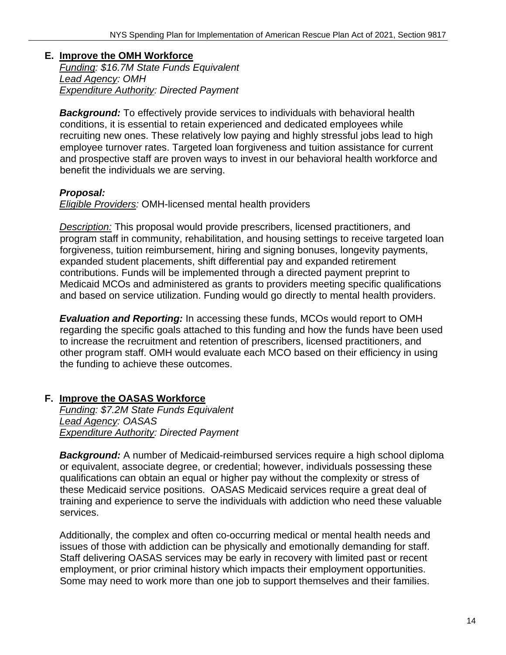#### **E. Improve the OMH Workforce**  *Funding: \$16.7M State Funds Equivalent Lead Agency: OMH*

*Expenditure Authority: Directed Payment* 

**Background:** To effectively provide services to individuals with behavioral health conditions, it is essential to retain experienced and dedicated employees while recruiting new ones. These relatively low paying and highly stressful jobs lead to high employee turnover rates. Targeted loan forgiveness and tuition assistance for current and prospective staff are proven ways to invest in our behavioral health workforce and benefit the individuals we are serving.

## *Proposal:*

*Eligible Providers:* OMH-licensed mental health providers

*Description:* This proposal would provide prescribers, licensed practitioners, and program staff in community, rehabilitation, and housing settings to receive targeted loan forgiveness, tuition reimbursement, hiring and signing bonuses, longevity payments, expanded student placements, shift differential pay and expanded retirement contributions. Funds will be implemented through a directed payment preprint to Medicaid MCOs and administered as grants to providers meeting specific qualifications and based on service utilization. Funding would go directly to mental health providers.

*Evaluation and Reporting:* In accessing these funds, MCOs would report to OMH regarding the specific goals attached to this funding and how the funds have been used to increase the recruitment and retention of prescribers, licensed practitioners, and other program staff. OMH would evaluate each MCO based on their efficiency in using the funding to achieve these outcomes.

## **F. Improve the OASAS Workforce**

*Funding: \$7.2M State Funds Equivalent Lead Agency: OASAS Expenditure Authority: Directed Payment* 

*Background:* A number of Medicaid-reimbursed services require a high school diploma or equivalent, associate degree, or credential; however, individuals possessing these qualifications can obtain an equal or higher pay without the complexity or stress of these Medicaid service positions. OASAS Medicaid services require a great deal of training and experience to serve the individuals with addiction who need these valuable services.

Additionally, the complex and often co-occurring medical or mental health needs and issues of those with addiction can be physically and emotionally demanding for staff. Staff delivering OASAS services may be early in recovery with limited past or recent employment, or prior criminal history which impacts their employment opportunities. Some may need to work more than one job to support themselves and their families.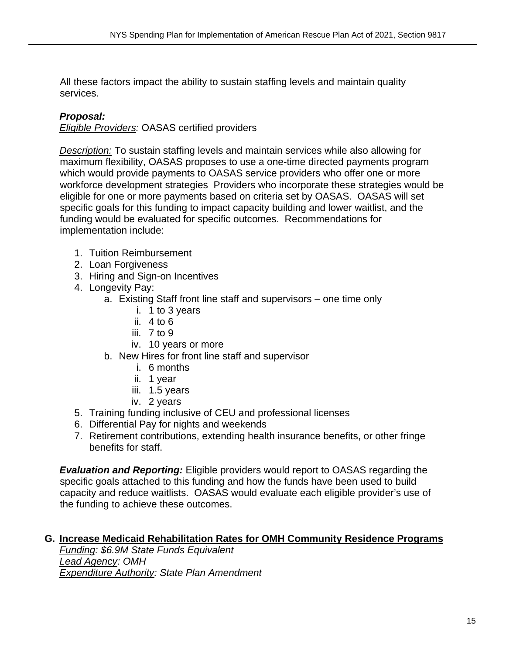All these factors impact the ability to sustain staffing levels and maintain quality services.

## *Proposal:*

*Eligible Providers:* OASAS certified providers

*Description:* To sustain staffing levels and maintain services while also allowing for maximum flexibility, OASAS proposes to use a one-time directed payments program which would provide payments to OASAS service providers who offer one or more workforce development strategies Providers who incorporate these strategies would be eligible for one or more payments based on criteria set by OASAS. OASAS will set specific goals for this funding to impact capacity building and lower waitlist, and the funding would be evaluated for specific outcomes. Recommendations for implementation include:

- 1. Tuition Reimbursement
- 2. Loan Forgiveness
- 3. Hiring and Sign-on Incentives
- 4. Longevity Pay:
	- a. Existing Staff front line staff and supervisors one time only
		- i. 1 to 3 years
		- ii. 4 to 6
		- iii.  $7$  to  $9$
		- iv. 10 years or more
	- b. New Hires for front line staff and supervisor
		- i. 6 months
		- ii. 1 year
		- iii. 1.5 years
		- iv. 2 years
- 5. Training funding inclusive of CEU and professional licenses
- 6. Differential Pay for nights and weekends
- 7. Retirement contributions, extending health insurance benefits, or other fringe benefits for staff.

*Evaluation and Reporting:* Eligible providers would report to OASAS regarding the specific goals attached to this funding and how the funds have been used to build capacity and reduce waitlists. OASAS would evaluate each eligible provider's use of the funding to achieve these outcomes.

## **G. Increase Medicaid Rehabilitation Rates for OMH Community Residence Programs**

*Funding: \$6.9M State Funds Equivalent Lead Agency: OMH Expenditure Authority: State Plan Amendment*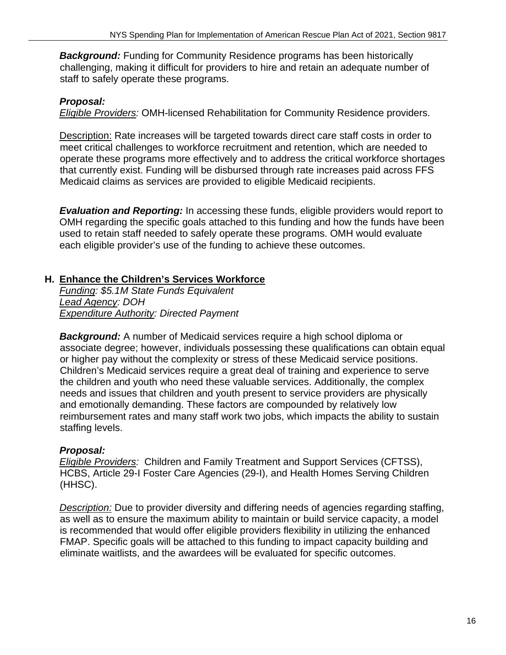**Background:** Funding for Community Residence programs has been historically challenging, making it difficult for providers to hire and retain an adequate number of staff to safely operate these programs.

## *Proposal:*

*Eligible Providers:* OMH-licensed Rehabilitation for Community Residence providers.

Description: Rate increases will be targeted towards direct care staff costs in order to meet critical challenges to workforce recruitment and retention, which are needed to operate these programs more effectively and to address the critical workforce shortages that currently exist. Funding will be disbursed through rate increases paid across FFS Medicaid claims as services are provided to eligible Medicaid recipients.

*Evaluation and Reporting:* In accessing these funds, eligible providers would report to OMH regarding the specific goals attached to this funding and how the funds have been used to retain staff needed to safely operate these programs. OMH would evaluate each eligible provider's use of the funding to achieve these outcomes.

## **H. Enhance the Children's Services Workforce**

*Funding: \$5.1M State Funds Equivalent Lead Agency: DOH Expenditure Authority: Directed Payment* 

*Background:* A number of Medicaid services require a high school diploma or associate degree; however, individuals possessing these qualifications can obtain equal or higher pay without the complexity or stress of these Medicaid service positions. Children's Medicaid services require a great deal of training and experience to serve the children and youth who need these valuable services. Additionally, the complex needs and issues that children and youth present to service providers are physically and emotionally demanding. These factors are compounded by relatively low reimbursement rates and many staff work two jobs, which impacts the ability to sustain staffing levels.

## *Proposal:*

*Eligible Providers:* Children and Family Treatment and Support Services (CFTSS), HCBS, Article 29-I Foster Care Agencies (29-I), and Health Homes Serving Children (HHSC).

*Description:* Due to provider diversity and differing needs of agencies regarding staffing, as well as to ensure the maximum ability to maintain or build service capacity, a model is recommended that would offer eligible providers flexibility in utilizing the enhanced FMAP. Specific goals will be attached to this funding to impact capacity building and eliminate waitlists, and the awardees will be evaluated for specific outcomes.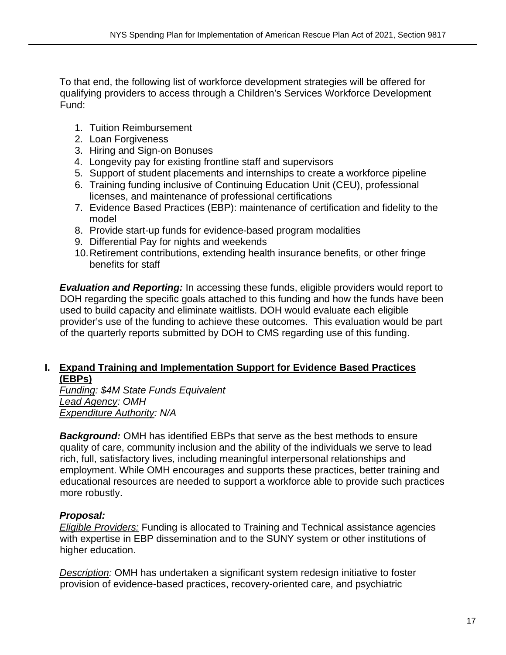To that end, the following list of workforce development strategies will be offered for qualifying providers to access through a Children's Services Workforce Development Fund:

- 1. Tuition Reimbursement
- 2. Loan Forgiveness
- 3. Hiring and Sign-on Bonuses
- 4. Longevity pay for existing frontline staff and supervisors
- 5. Support of student placements and internships to create a workforce pipeline
- 6. Training funding inclusive of Continuing Education Unit (CEU), professional licenses, and maintenance of professional certifications
- 7. Evidence Based Practices (EBP): maintenance of certification and fidelity to the model
- 8. Provide start-up funds for evidence-based program modalities
- 9. Differential Pay for nights and weekends
- 10. Retirement contributions, extending health insurance benefits, or other fringe benefits for staff

*Evaluation and Reporting:* In accessing these funds, eligible providers would report to DOH regarding the specific goals attached to this funding and how the funds have been used to build capacity and eliminate waitlists. DOH would evaluate each eligible provider's use of the funding to achieve these outcomes. This evaluation would be part of the quarterly reports submitted by DOH to CMS regarding use of this funding.

#### **I. Expand Training and Implementation Support for Evidence Based Practices (EBPs)**

*Funding: \$4M State Funds Equivalent Lead Agency: OMH Expenditure Authority: N/A* 

*Background:* OMH has identified EBPs that serve as the best methods to ensure quality of care, community inclusion and the ability of the individuals we serve to lead rich, full, satisfactory lives, including meaningful interpersonal relationships and employment. While OMH encourages and supports these practices, better training and educational resources are needed to support a workforce able to provide such practices more robustly.

## *Proposal:*

*Eligible Providers:* Funding is allocated to Training and Technical assistance agencies with expertise in EBP dissemination and to the SUNY system or other institutions of higher education.

*Description:* OMH has undertaken a significant system redesign initiative to foster provision of evidence-based practices, recovery-oriented care, and psychiatric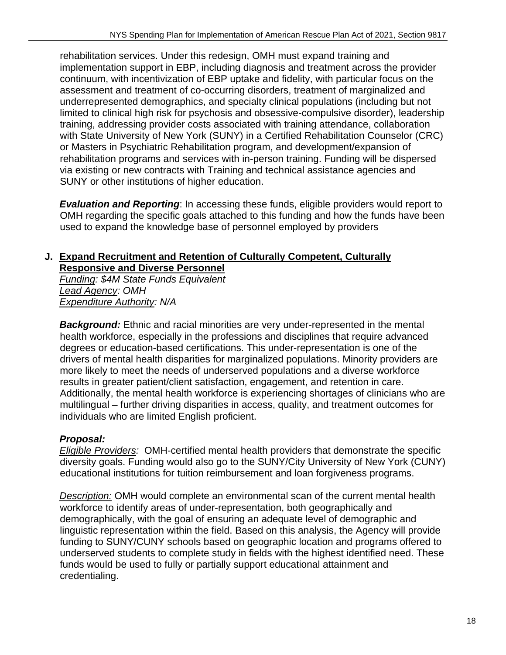rehabilitation services. Under this redesign, OMH must expand training and implementation support in EBP, including diagnosis and treatment across the provider continuum, with incentivization of EBP uptake and fidelity, with particular focus on the assessment and treatment of co-occurring disorders, treatment of marginalized and underrepresented demographics, and specialty clinical populations (including but not limited to clinical high risk for psychosis and obsessive-compulsive disorder), leadership training, addressing provider costs associated with training attendance, collaboration with State University of New York (SUNY) in a Certified Rehabilitation Counselor (CRC) or Masters in Psychiatric Rehabilitation program, and development/expansion of rehabilitation programs and services with in-person training. Funding will be dispersed via existing or new contracts with Training and technical assistance agencies and SUNY or other institutions of higher education.

*Evaluation and Reporting:* In accessing these funds, eligible providers would report to OMH regarding the specific goals attached to this funding and how the funds have been used to expand the knowledge base of personnel employed by providers

#### **J. Expand Recruitment and Retention of Culturally Competent, Culturally Responsive and Diverse Personnel**

*Funding: \$4M State Funds Equivalent Lead Agency: OMH Expenditure Authority: N/A* 

**Background:** Ethnic and racial minorities are very under-represented in the mental health workforce, especially in the professions and disciplines that require advanced degrees or education-based certifications. This under-representation is one of the drivers of mental health disparities for marginalized populations. Minority providers are more likely to meet the needs of underserved populations and a diverse workforce results in greater patient/client satisfaction, engagement, and retention in care. Additionally, the mental health workforce is experiencing shortages of clinicians who are multilingual – further driving disparities in access, quality, and treatment outcomes for individuals who are limited English proficient.

## *Proposal:*

*Eligible Providers:* OMH-certified mental health providers that demonstrate the specific diversity goals. Funding would also go to the SUNY/City University of New York (CUNY) educational institutions for tuition reimbursement and loan forgiveness programs.

*Description:* OMH would complete an environmental scan of the current mental health workforce to identify areas of under-representation, both geographically and demographically, with the goal of ensuring an adequate level of demographic and linguistic representation within the field. Based on this analysis, the Agency will provide funding to SUNY/CUNY schools based on geographic location and programs offered to underserved students to complete study in fields with the highest identified need. These funds would be used to fully or partially support educational attainment and credentialing.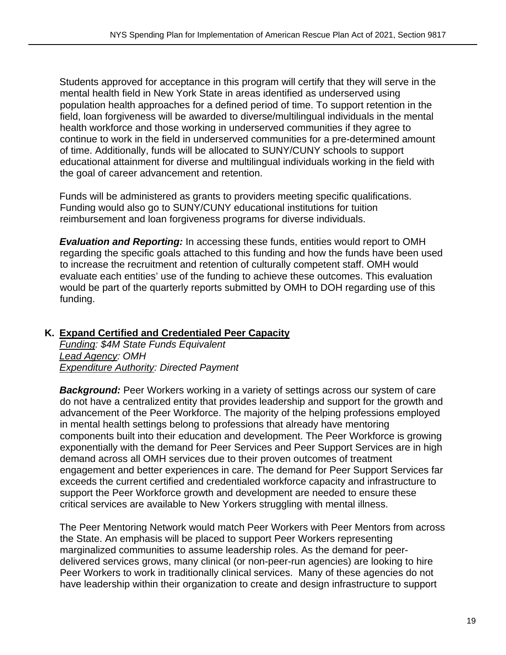Students approved for acceptance in this program will certify that they will serve in the mental health field in New York State in areas identified as underserved using population health approaches for a defined period of time. To support retention in the field, loan forgiveness will be awarded to diverse/multilingual individuals in the mental health workforce and those working in underserved communities if they agree to continue to work in the field in underserved communities for a pre-determined amount of time. Additionally, funds will be allocated to SUNY/CUNY schools to support educational attainment for diverse and multilingual individuals working in the field with the goal of career advancement and retention.

Funds will be administered as grants to providers meeting specific qualifications. Funding would also go to SUNY/CUNY educational institutions for tuition reimbursement and loan forgiveness programs for diverse individuals.

*Evaluation and Reporting:* In accessing these funds, entities would report to OMH regarding the specific goals attached to this funding and how the funds have been used to increase the recruitment and retention of culturally competent staff. OMH would evaluate each entities' use of the funding to achieve these outcomes. This evaluation would be part of the quarterly reports submitted by OMH to DOH regarding use of this funding.

#### **K. Expand Certified and Credentialed Peer Capacity**

*Funding: \$4M State Funds Equivalent Lead Agency: OMH Expenditure Authority: Directed Payment* 

**Background:** Peer Workers working in a variety of settings across our system of care do not have a centralized entity that provides leadership and support for the growth and advancement of the Peer Workforce. The majority of the helping professions employed in mental health settings belong to professions that already have mentoring components built into their education and development. The Peer Workforce is growing exponentially with the demand for Peer Services and Peer Support Services are in high demand across all OMH services due to their proven outcomes of treatment engagement and better experiences in care. The demand for Peer Support Services far exceeds the current certified and credentialed workforce capacity and infrastructure to support the Peer Workforce growth and development are needed to ensure these critical services are available to New Yorkers struggling with mental illness.

The Peer Mentoring Network would match Peer Workers with Peer Mentors from across the State. An emphasis will be placed to support Peer Workers representing marginalized communities to assume leadership roles. As the demand for peerdelivered services grows, many clinical (or non-peer-run agencies) are looking to hire Peer Workers to work in traditionally clinical services. Many of these agencies do not have leadership within their organization to create and design infrastructure to support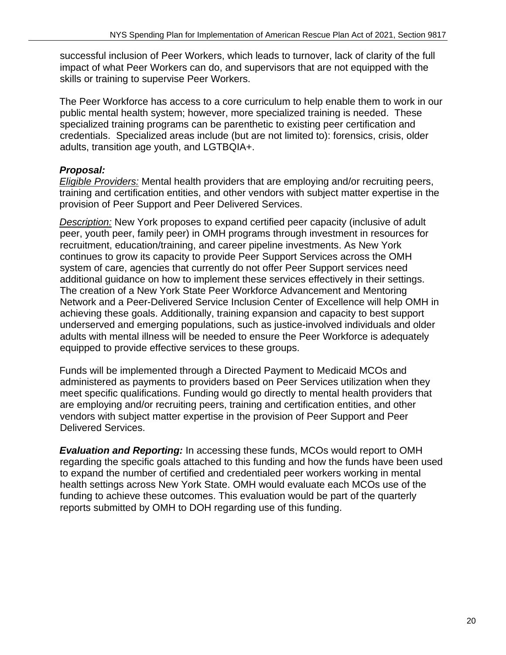successful inclusion of Peer Workers, which leads to turnover, lack of clarity of the full impact of what Peer Workers can do, and supervisors that are not equipped with the skills or training to supervise Peer Workers.

The Peer Workforce has access to a core curriculum to help enable them to work in our public mental health system; however, more specialized training is needed. These specialized training programs can be parenthetic to existing peer certification and credentials. Specialized areas include (but are not limited to): forensics, crisis, older adults, transition age youth, and LGTBQIA+.

## *Proposal:*

*Eligible Providers:* Mental health providers that are employing and/or recruiting peers, training and certification entities, and other vendors with subject matter expertise in the provision of Peer Support and Peer Delivered Services.

*Description:* New York proposes to expand certified peer capacity (inclusive of adult peer, youth peer, family peer) in OMH programs through investment in resources for recruitment, education/training, and career pipeline investments. As New York continues to grow its capacity to provide Peer Support Services across the OMH system of care, agencies that currently do not offer Peer Support services need additional guidance on how to implement these services effectively in their settings. The creation of a New York State Peer Workforce Advancement and Mentoring Network and a Peer-Delivered Service Inclusion Center of Excellence will help OMH in achieving these goals. Additionally, training expansion and capacity to best support underserved and emerging populations, such as justice-involved individuals and older adults with mental illness will be needed to ensure the Peer Workforce is adequately equipped to provide effective services to these groups.

Funds will be implemented through a Directed Payment to Medicaid MCOs and administered as payments to providers based on Peer Services utilization when they meet specific qualifications. Funding would go directly to mental health providers that are employing and/or recruiting peers, training and certification entities, and other vendors with subject matter expertise in the provision of Peer Support and Peer Delivered Services.

*Evaluation and Reporting:* In accessing these funds, MCOs would report to OMH regarding the specific goals attached to this funding and how the funds have been used to expand the number of certified and credentialed peer workers working in mental health settings across New York State. OMH would evaluate each MCOs use of the funding to achieve these outcomes. This evaluation would be part of the quarterly reports submitted by OMH to DOH regarding use of this funding.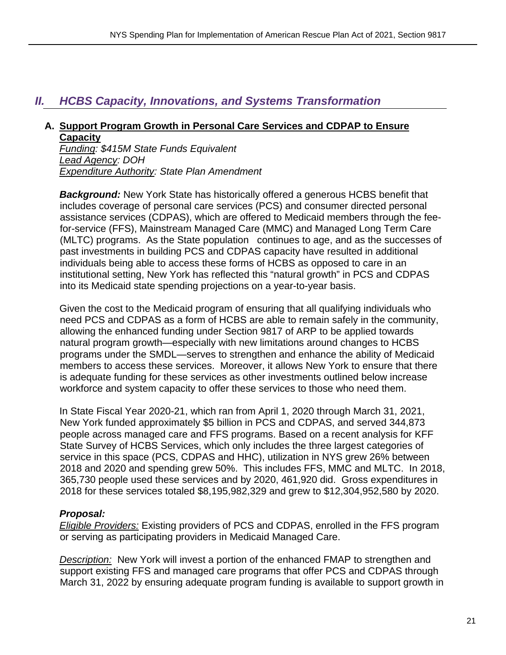## *II. HCBS Capacity, Innovations, and Systems Transformation*

#### **A. Support Program Growth in Personal Care Services and CDPAP to Ensure Capacity**

*Funding: \$415M State Funds Equivalent Lead Agency: DOH Expenditure Authority: State Plan Amendment* 

**Background:** New York State has historically offered a generous HCBS benefit that includes coverage of personal care services (PCS) and consumer directed personal assistance services (CDPAS), which are offered to Medicaid members through the feefor-service (FFS), Mainstream Managed Care (MMC) and Managed Long Term Care (MLTC) programs. As the State population continues to age, and as the successes of past investments in building PCS and CDPAS capacity have resulted in additional individuals being able to access these forms of HCBS as opposed to care in an institutional setting, New York has reflected this "natural growth" in PCS and CDPAS into its Medicaid state spending projections on a year-to-year basis.

Given the cost to the Medicaid program of ensuring that all qualifying individuals who need PCS and CDPAS as a form of HCBS are able to remain safely in the community, allowing the enhanced funding under Section 9817 of ARP to be applied towards natural program growth—especially with new limitations around changes to HCBS programs under the SMDL—serves to strengthen and enhance the ability of Medicaid members to access these services. Moreover, it allows New York to ensure that there is adequate funding for these services as other investments outlined below increase workforce and system capacity to offer these services to those who need them.

In State Fiscal Year 2020-21, which ran from April 1, 2020 through March 31, 2021, New York funded approximately \$5 billion in PCS and CDPAS, and served 344,873 people across managed care and FFS programs. Based on a recent analysis for KFF State Survey of HCBS Services, which only includes the three largest categories of service in this space (PCS, CDPAS and HHC), utilization in NYS grew 26% between 2018 and 2020 and spending grew 50%. This includes FFS, MMC and MLTC. In 2018, 365,730 people used these services and by 2020, 461,920 did. Gross expenditures in 2018 for these services totaled \$8,195,982,329 and grew to \$12,304,952,580 by 2020.

#### *Proposal:*

*Eligible Providers:* Existing providers of PCS and CDPAS, enrolled in the FFS program or serving as participating providers in Medicaid Managed Care.

*Description:* New York will invest a portion of the enhanced FMAP to strengthen and support existing FFS and managed care programs that offer PCS and CDPAS through March 31, 2022 by ensuring adequate program funding is available to support growth in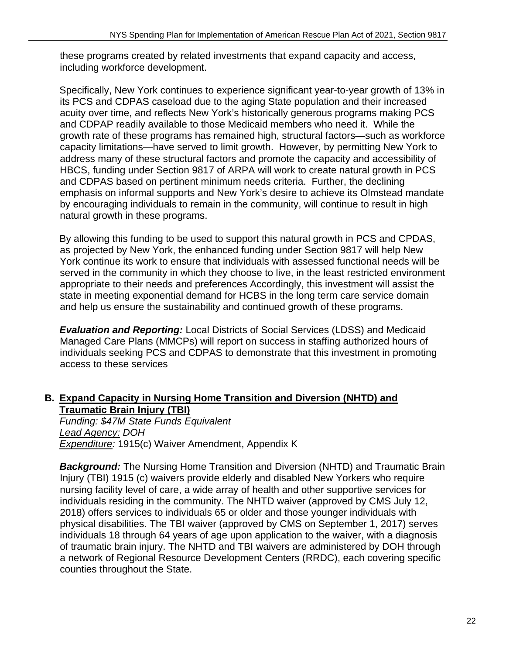these programs created by related investments that expand capacity and access, including workforce development.

Specifically, New York continues to experience significant year-to-year growth of 13% in its PCS and CDPAS caseload due to the aging State population and their increased acuity over time, and reflects New York's historically generous programs making PCS and CDPAP readily available to those Medicaid members who need it. While the growth rate of these programs has remained high, structural factors—such as workforce capacity limitations—have served to limit growth. However, by permitting New York to address many of these structural factors and promote the capacity and accessibility of HBCS, funding under Section 9817 of ARPA will work to create natural growth in PCS and CDPAS based on pertinent minimum needs criteria. Further, the declining emphasis on informal supports and New York's desire to achieve its Olmstead mandate by encouraging individuals to remain in the community, will continue to result in high natural growth in these programs.

By allowing this funding to be used to support this natural growth in PCS and CPDAS, as projected by New York, the enhanced funding under Section 9817 will help New York continue its work to ensure that individuals with assessed functional needs will be served in the community in which they choose to live, in the least restricted environment appropriate to their needs and preferences Accordingly, this investment will assist the state in meeting exponential demand for HCBS in the long term care service domain and help us ensure the sustainability and continued growth of these programs.

*Evaluation and Reporting:* Local Districts of Social Services (LDSS) and Medicaid Managed Care Plans (MMCPs) will report on success in staffing authorized hours of individuals seeking PCS and CDPAS to demonstrate that this investment in promoting access to these services

## **B. Expand Capacity in Nursing Home Transition and Diversion (NHTD) and Traumatic Brain Injury (TBI)**

*Funding: \$47M State Funds Equivalent Lead Agency: DOH Expenditure:* 1915(c) Waiver Amendment, Appendix K

**Background:** The Nursing Home Transition and Diversion (NHTD) and Traumatic Brain Injury (TBI) 1915 (c) waivers provide elderly and disabled New Yorkers who require nursing facility level of care, a wide array of health and other supportive services for individuals residing in the community. The NHTD waiver (approved by CMS July 12, 2018) offers services to individuals 65 or older and those younger individuals with physical disabilities. The TBI waiver (approved by CMS on September 1, 2017) serves individuals 18 through 64 years of age upon application to the waiver, with a diagnosis of traumatic brain injury. The NHTD and TBI waivers are administered by DOH through a network of Regional Resource Development Centers (RRDC), each covering specific counties throughout the State.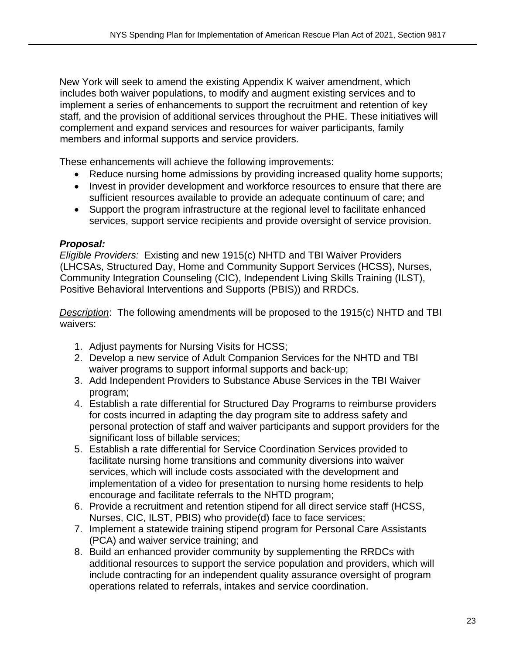New York will seek to amend the existing Appendix K waiver amendment, which includes both waiver populations, to modify and augment existing services and to implement a series of enhancements to support the recruitment and retention of key staff, and the provision of additional services throughout the PHE. These initiatives will complement and expand services and resources for waiver participants, family members and informal supports and service providers.

These enhancements will achieve the following improvements:

- Reduce nursing home admissions by providing increased quality home supports;
- Invest in provider development and workforce resources to ensure that there are sufficient resources available to provide an adequate continuum of care; and
- Support the program infrastructure at the regional level to facilitate enhanced services, support service recipients and provide oversight of service provision.

## *Proposal:*

*Eligible Providers:* Existing and new 1915(c) NHTD and TBI Waiver Providers (LHCSAs, Structured Day, Home and Community Support Services (HCSS), Nurses, Community Integration Counseling (CIC), Independent Living Skills Training (ILST), Positive Behavioral Interventions and Supports (PBIS)) and RRDCs.

*Description*: The following amendments will be proposed to the 1915(c) NHTD and TBI waivers:

- 1. Adjust payments for Nursing Visits for HCSS;
- 2. Develop a new service of Adult Companion Services for the NHTD and TBI waiver programs to support informal supports and back-up;
- 3. Add Independent Providers to Substance Abuse Services in the TBI Waiver program;
- 4. Establish a rate differential for Structured Day Programs to reimburse providers for costs incurred in adapting the day program site to address safety and personal protection of staff and waiver participants and support providers for the significant loss of billable services;
- 5. Establish a rate differential for Service Coordination Services provided to facilitate nursing home transitions and community diversions into waiver services, which will include costs associated with the development and implementation of a video for presentation to nursing home residents to help encourage and facilitate referrals to the NHTD program;
- 6. Provide a recruitment and retention stipend for all direct service staff (HCSS, Nurses, CIC, ILST, PBIS) who provide(d) face to face services;
- 7. Implement a statewide training stipend program for Personal Care Assistants (PCA) and waiver service training; and
- 8. Build an enhanced provider community by supplementing the RRDCs with additional resources to support the service population and providers, which will include contracting for an independent quality assurance oversight of program operations related to referrals, intakes and service coordination.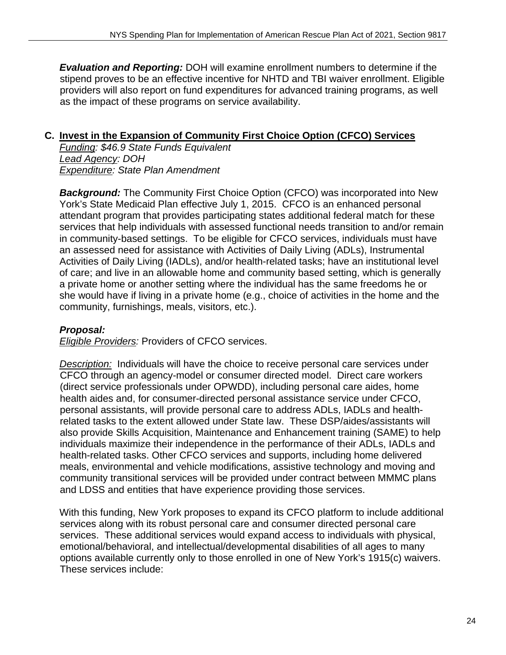*Evaluation and Reporting:* DOH will examine enrollment numbers to determine if the stipend proves to be an effective incentive for NHTD and TBI waiver enrollment. Eligible providers will also report on fund expenditures for advanced training programs, as well as the impact of these programs on service availability.

## **C. Invest in the Expansion of Community First Choice Option (CFCO) Services**

*Funding: \$46.9 State Funds Equivalent Lead Agency: DOH Expenditure: State Plan Amendment* 

*Background:* The Community First Choice Option (CFCO) was incorporated into New York's State Medicaid Plan effective July 1, 2015. CFCO is an enhanced personal attendant program that provides participating states additional federal match for these services that help individuals with assessed functional needs transition to and/or remain in community-based settings. To be eligible for CFCO services, individuals must have an assessed need for assistance with Activities of Daily Living (ADLs), Instrumental Activities of Daily Living (IADLs), and/or health-related tasks; have an institutional level of care; and live in an allowable home and community based setting, which is generally a private home or another setting where the individual has the same freedoms he or she would have if living in a private home (e.g., choice of activities in the home and the community, furnishings, meals, visitors, etc.).

#### *Proposal:*

*Eligible Providers:* Providers of CFCO services.

*Description:* Individuals will have the choice to receive personal care services under CFCO through an agency-model or consumer directed model. Direct care workers (direct service professionals under OPWDD), including personal care aides, home health aides and, for consumer-directed personal assistance service under CFCO, personal assistants, will provide personal care to address ADLs, IADLs and healthrelated tasks to the extent allowed under State law. These DSP/aides/assistants will also provide Skills Acquisition, Maintenance and Enhancement training (SAME) to help individuals maximize their independence in the performance of their ADLs, IADLs and health-related tasks. Other CFCO services and supports, including home delivered meals, environmental and vehicle modifications, assistive technology and moving and community transitional services will be provided under contract between MMMC plans and LDSS and entities that have experience providing those services.

With this funding, New York proposes to expand its CFCO platform to include additional services along with its robust personal care and consumer directed personal care services. These additional services would expand access to individuals with physical, emotional/behavioral, and intellectual/developmental disabilities of all ages to many options available currently only to those enrolled in one of New York's 1915(c) waivers. These services include: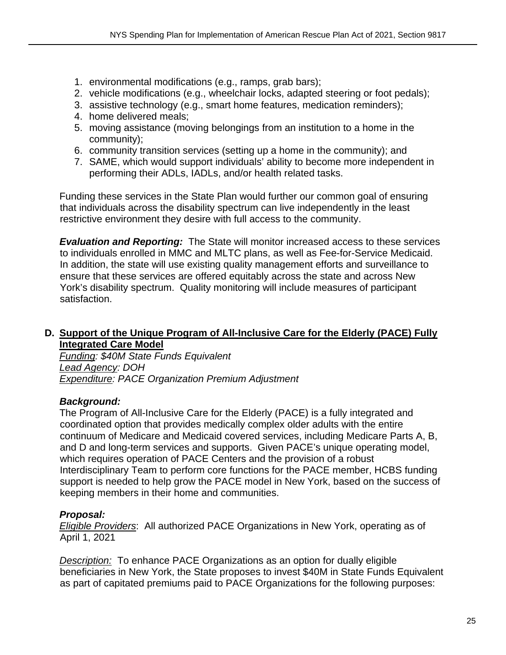- 1. environmental modifications (e.g., ramps, grab bars);
- 2. vehicle modifications (e.g., wheelchair locks, adapted steering or foot pedals);
- 3. assistive technology (e.g., smart home features, medication reminders);
- 4. home delivered meals;
- 5. moving assistance (moving belongings from an institution to a home in the community);
- 6. community transition services (setting up a home in the community); and
- 7. SAME, which would support individuals' ability to become more independent in performing their ADLs, IADLs, and/or health related tasks.

Funding these services in the State Plan would further our common goal of ensuring that individuals across the disability spectrum can live independently in the least restrictive environment they desire with full access to the community.

*Evaluation and Reporting:* The State will monitor increased access to these services to individuals enrolled in MMC and MLTC plans, as well as Fee-for-Service Medicaid. In addition, the state will use existing quality management efforts and surveillance to ensure that these services are offered equitably across the state and across New York's disability spectrum. Quality monitoring will include measures of participant satisfaction.

#### **D. Support of the Unique Program of All-Inclusive Care for the Elderly (PACE) Fully Integrated Care Model**

*Funding: \$40M State Funds Equivalent Lead Agency: DOH Expenditure: PACE Organization Premium Adjustment* 

## *Background:*

The Program of All-Inclusive Care for the Elderly (PACE) is a fully integrated and coordinated option that provides medically complex older adults with the entire continuum of Medicare and Medicaid covered services, including Medicare Parts A, B, and D and long-term services and supports. Given PACE's unique operating model, which requires operation of PACE Centers and the provision of a robust Interdisciplinary Team to perform core functions for the PACE member, HCBS funding support is needed to help grow the PACE model in New York, based on the success of keeping members in their home and communities.

## *Proposal:*

*Eligible Providers*: All authorized PACE Organizations in New York, operating as of April 1, 2021

*Description:* To enhance PACE Organizations as an option for dually eligible beneficiaries in New York, the State proposes to invest \$40M in State Funds Equivalent as part of capitated premiums paid to PACE Organizations for the following purposes: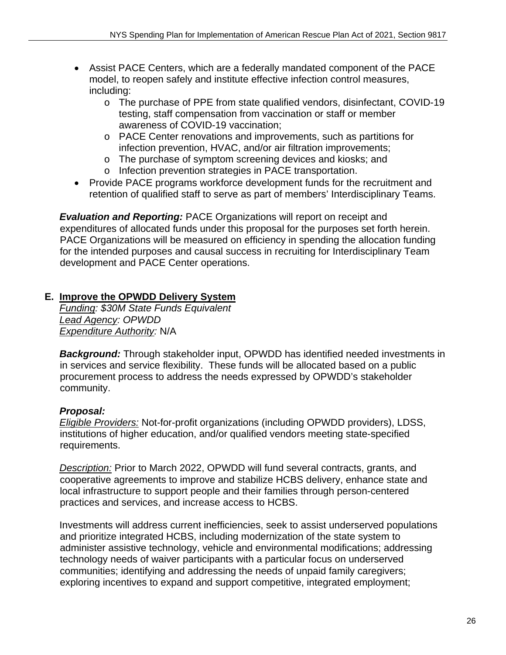- Assist PACE Centers, which are a federally mandated component of the PACE model, to reopen safely and institute effective infection control measures, including:
	- o The purchase of PPE from state qualified vendors, disinfectant, COVID-19 testing, staff compensation from vaccination or staff or member awareness of COVID-19 vaccination;
	- o PACE Center renovations and improvements, such as partitions for infection prevention, HVAC, and/or air filtration improvements;
	- o The purchase of symptom screening devices and kiosks; and
	- o Infection prevention strategies in PACE transportation.
- Provide PACE programs workforce development funds for the recruitment and retention of qualified staff to serve as part of members' Interdisciplinary Teams.

*Evaluation and Reporting:* PACE Organizations will report on receipt and expenditures of allocated funds under this proposal for the purposes set forth herein. PACE Organizations will be measured on efficiency in spending the allocation funding for the intended purposes and causal success in recruiting for Interdisciplinary Team development and PACE Center operations.

## **E. Improve the OPWDD Delivery System**

*Funding: \$30M State Funds Equivalent Lead Agency: OPWDD Expenditure Authority:* N/A

*Background:* Through stakeholder input, OPWDD has identified needed investments in in services and service flexibility. These funds will be allocated based on a public procurement process to address the needs expressed by OPWDD's stakeholder community.

## *Proposal:*

*Eligible Providers:* Not-for-profit organizations (including OPWDD providers), LDSS, institutions of higher education, and/or qualified vendors meeting state-specified requirements.

*Description:* Prior to March 2022, OPWDD will fund several contracts, grants, and cooperative agreements to improve and stabilize HCBS delivery, enhance state and local infrastructure to support people and their families through person-centered practices and services, and increase access to HCBS.

Investments will address current inefficiencies, seek to assist underserved populations and prioritize integrated HCBS, including modernization of the state system to administer assistive technology, vehicle and environmental modifications; addressing technology needs of waiver participants with a particular focus on underserved communities; identifying and addressing the needs of unpaid family caregivers; exploring incentives to expand and support competitive, integrated employment;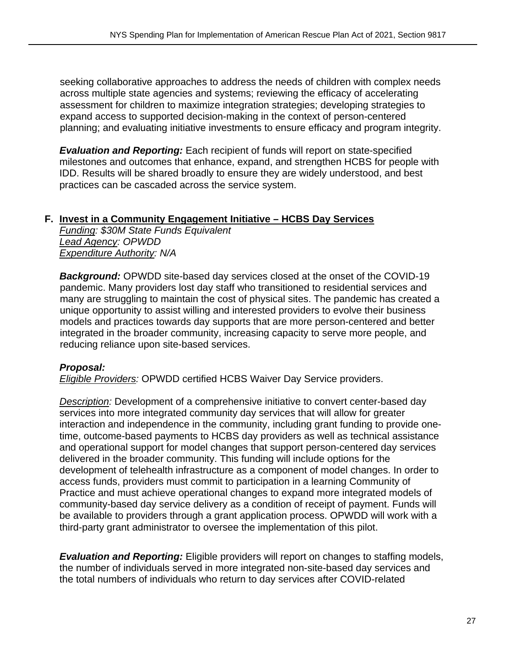seeking collaborative approaches to address the needs of children with complex needs across multiple state agencies and systems; reviewing the efficacy of accelerating assessment for children to maximize integration strategies; developing strategies to expand access to supported decision-making in the context of person-centered planning; and evaluating initiative investments to ensure efficacy and program integrity.

*Evaluation and Reporting:* Each recipient of funds will report on state-specified milestones and outcomes that enhance, expand, and strengthen HCBS for people with IDD. Results will be shared broadly to ensure they are widely understood, and best practices can be cascaded across the service system.

#### **F. Invest in a Community Engagement Initiative – HCBS Day Services**

*Funding: \$30M State Funds Equivalent Lead Agency: OPWDD Expenditure Authority: N/A* 

*Background:* OPWDD site-based day services closed at the onset of the COVID-19 pandemic. Many providers lost day staff who transitioned to residential services and many are struggling to maintain the cost of physical sites. The pandemic has created a unique opportunity to assist willing and interested providers to evolve their business models and practices towards day supports that are more person-centered and better integrated in the broader community, increasing capacity to serve more people, and reducing reliance upon site-based services.

#### *Proposal:*

*Eligible Providers:* OPWDD certified HCBS Waiver Day Service providers.

*Description:* Development of a comprehensive initiative to convert center-based day services into more integrated community day services that will allow for greater interaction and independence in the community, including grant funding to provide onetime, outcome-based payments to HCBS day providers as well as technical assistance and operational support for model changes that support person-centered day services delivered in the broader community. This funding will include options for the development of telehealth infrastructure as a component of model changes. In order to access funds, providers must commit to participation in a learning Community of Practice and must achieve operational changes to expand more integrated models of community-based day service delivery as a condition of receipt of payment. Funds will be available to providers through a grant application process. OPWDD will work with a third-party grant administrator to oversee the implementation of this pilot.

*Evaluation and Reporting:* Eligible providers will report on changes to staffing models, the number of individuals served in more integrated non-site-based day services and the total numbers of individuals who return to day services after COVID-related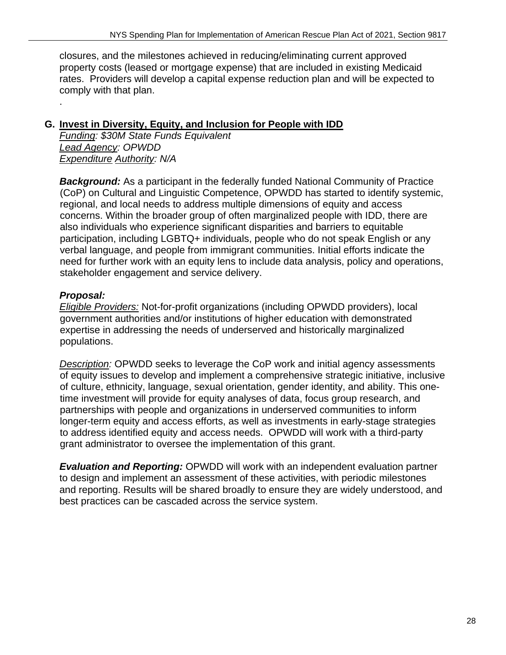closures, and the milestones achieved in reducing/eliminating current approved property costs (leased or mortgage expense) that are included in existing Medicaid rates. Providers will develop a capital expense reduction plan and will be expected to comply with that plan.

## **G. Invest in Diversity, Equity, and Inclusion for People with IDD**

*Funding: \$30M State Funds Equivalent Lead Agency: OPWDD Expenditure Authority: N/A*

**Background:** As a participant in the federally funded National Community of Practice (CoP) on Cultural and Linguistic Competence, OPWDD has started to identify systemic, regional, and local needs to address multiple dimensions of equity and access concerns. Within the broader group of often marginalized people with IDD, there are also individuals who experience significant disparities and barriers to equitable participation, including LGBTQ+ individuals, people who do not speak English or any verbal language, and people from immigrant communities. Initial efforts indicate the need for further work with an equity lens to include data analysis, policy and operations, stakeholder engagement and service delivery.

## *Proposal:*

.

*Eligible Providers:* Not-for-profit organizations (including OPWDD providers), local government authorities and/or institutions of higher education with demonstrated expertise in addressing the needs of underserved and historically marginalized populations.

*Description:* OPWDD seeks to leverage the CoP work and initial agency assessments of equity issues to develop and implement a comprehensive strategic initiative, inclusive of culture, ethnicity, language, sexual orientation, gender identity, and ability. This onetime investment will provide for equity analyses of data, focus group research, and partnerships with people and organizations in underserved communities to inform longer-term equity and access efforts, as well as investments in early-stage strategies to address identified equity and access needs. OPWDD will work with a third-party grant administrator to oversee the implementation of this grant.

*Evaluation and Reporting:* OPWDD will work with an independent evaluation partner to design and implement an assessment of these activities, with periodic milestones and reporting. Results will be shared broadly to ensure they are widely understood, and best practices can be cascaded across the service system.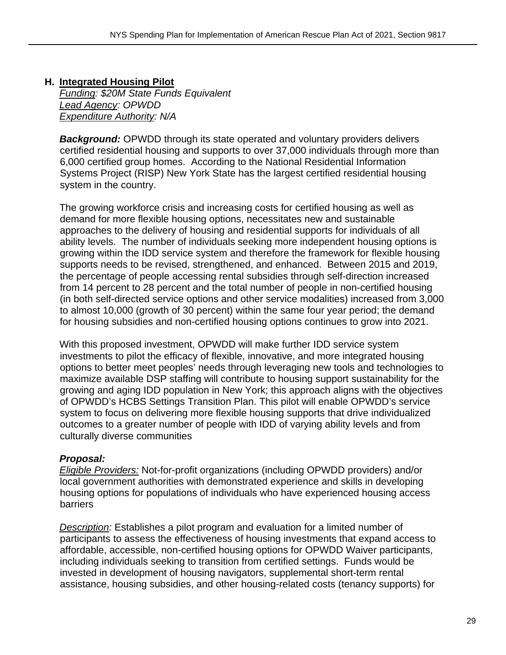## **H. Integrated Housing Pilot**  *Funding: \$20M State Funds Equivalent*

*Lead Agency: OPWDD Expenditure Authority: N/A* 

**Background:** OPWDD through its state operated and voluntary providers delivers certified residential housing and supports to over 37,000 individuals through more than 6,000 certified group homes. According to the National Residential Information Systems Project (RISP) New York State has the largest certified residential housing system in the country.

The growing workforce crisis and increasing costs for certified housing as well as demand for more flexible housing options, necessitates new and sustainable approaches to the delivery of housing and residential supports for individuals of all ability levels. The number of individuals seeking more independent housing options is growing within the IDD service system and therefore the framework for flexible housing supports needs to be revised, strengthened, and enhanced. Between 2015 and 2019, the percentage of people accessing rental subsidies through self-direction increased from 14 percent to 28 percent and the total number of people in non-certified housing (in both self-directed service options and other service modalities) increased from 3,000 to almost 10,000 (growth of 30 percent) within the same four year period; the demand for housing subsidies and non-certified housing options continues to grow into 2021.

With this proposed investment, OPWDD will make further IDD service system investments to pilot the efficacy of flexible, innovative, and more integrated housing options to better meet peoples' needs through leveraging new tools and technologies to maximize available DSP staffing will contribute to housing support sustainability for the growing and aging IDD population in New York; this approach aligns with the objectives of OPWDD's HCBS Settings Transition Plan. This pilot will enable OPWDD's service system to focus on delivering more flexible housing supports that drive individualized outcomes to a greater number of people with IDD of varying ability levels and from culturally diverse communities

#### *Proposal:*

*Eligible Providers:* Not-for-profit organizations (including OPWDD providers) and/or local government authorities with demonstrated experience and skills in developing housing options for populations of individuals who have experienced housing access barriers

*Description:* Establishes a pilot program and evaluation for a limited number of participants to assess the effectiveness of housing investments that expand access to affordable, accessible, non-certified housing options for OPWDD Waiver participants, including individuals seeking to transition from certified settings. Funds would be invested in development of housing navigators, supplemental short-term rental assistance, housing subsidies, and other housing-related costs (tenancy supports) for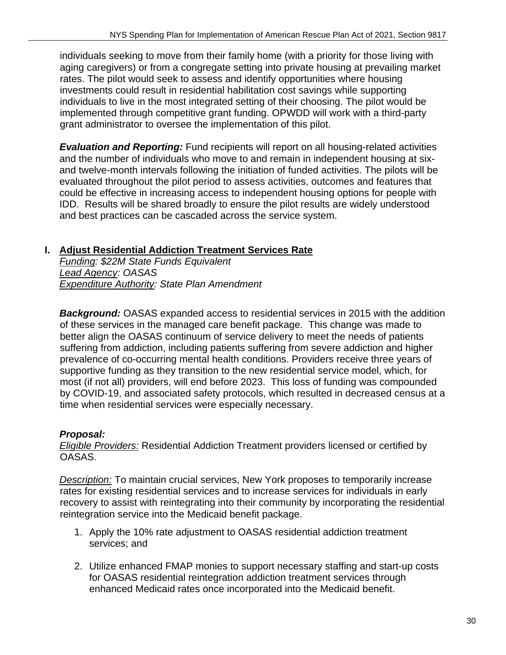individuals seeking to move from their family home (with a priority for those living with aging caregivers) or from a congregate setting into private housing at prevailing market rates. The pilot would seek to assess and identify opportunities where housing investments could result in residential habilitation cost savings while supporting individuals to live in the most integrated setting of their choosing. The pilot would be implemented through competitive grant funding. OPWDD will work with a third-party grant administrator to oversee the implementation of this pilot.

*Evaluation and Reporting:* Fund recipients will report on all housing-related activities and the number of individuals who move to and remain in independent housing at sixand twelve-month intervals following the initiation of funded activities. The pilots will be evaluated throughout the pilot period to assess activities, outcomes and features that could be effective in increasing access to independent housing options for people with IDD. Results will be shared broadly to ensure the pilot results are widely understood and best practices can be cascaded across the service system.

## **I. Adjust Residential Addiction Treatment Services Rate**

*Funding: \$22M State Funds Equivalent Lead Agency: OASAS Expenditure Authority: State Plan Amendment*

**Background:** OASAS expanded access to residential services in 2015 with the addition of these services in the managed care benefit package. This change was made to better align the OASAS continuum of service delivery to meet the needs of patients suffering from addiction, including patients suffering from severe addiction and higher prevalence of co-occurring mental health conditions. Providers receive three years of supportive funding as they transition to the new residential service model, which, for most (if not all) providers, will end before 2023. This loss of funding was compounded by COVID-19, and associated safety protocols, which resulted in decreased census at a time when residential services were especially necessary.

## *Proposal:*

*Eligible Providers:* Residential Addiction Treatment providers licensed or certified by OASAS.

*Description:* To maintain crucial services, New York proposes to temporarily increase rates for existing residential services and to increase services for individuals in early recovery to assist with reintegrating into their community by incorporating the residential reintegration service into the Medicaid benefit package.

- 1. Apply the 10% rate adjustment to OASAS residential addiction treatment services; and
- 2. Utilize enhanced FMAP monies to support necessary staffing and start-up costs for OASAS residential reintegration addiction treatment services through enhanced Medicaid rates once incorporated into the Medicaid benefit.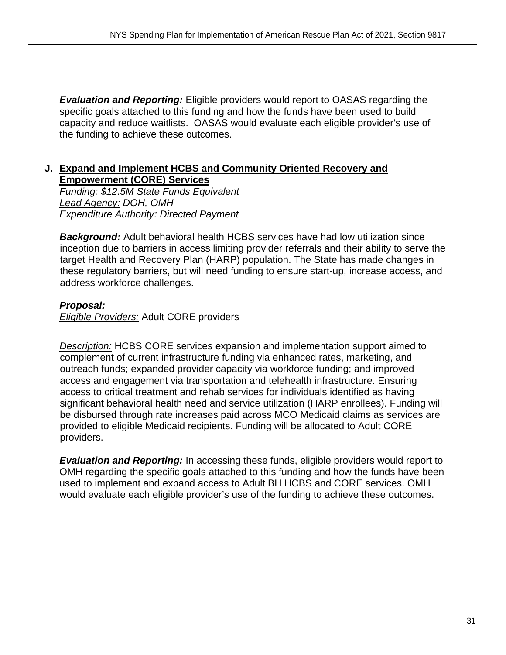*Evaluation and Reporting:* Eligible providers would report to OASAS regarding the specific goals attached to this funding and how the funds have been used to build capacity and reduce waitlists. OASAS would evaluate each eligible provider's use of the funding to achieve these outcomes.

#### **J. Expand and Implement HCBS and Community Oriented Recovery and Empowerment (CORE) Services**

*Funding: \$12.5M State Funds Equivalent Lead Agency: DOH, OMH Expenditure Authority: Directed Payment* 

**Background:** Adult behavioral health HCBS services have had low utilization since inception due to barriers in access limiting provider referrals and their ability to serve the target Health and Recovery Plan (HARP) population. The State has made changes in these regulatory barriers, but will need funding to ensure start-up, increase access, and address workforce challenges.

#### *Proposal:*

*Eligible Providers:* Adult CORE providers

*Description:* HCBS CORE services expansion and implementation support aimed to complement of current infrastructure funding via enhanced rates, marketing, and outreach funds; expanded provider capacity via workforce funding; and improved access and engagement via transportation and telehealth infrastructure. Ensuring access to critical treatment and rehab services for individuals identified as having significant behavioral health need and service utilization (HARP enrollees). Funding will be disbursed through rate increases paid across MCO Medicaid claims as services are provided to eligible Medicaid recipients. Funding will be allocated to Adult CORE providers.

*Evaluation and Reporting:* In accessing these funds, eligible providers would report to OMH regarding the specific goals attached to this funding and how the funds have been used to implement and expand access to Adult BH HCBS and CORE services. OMH would evaluate each eligible provider's use of the funding to achieve these outcomes.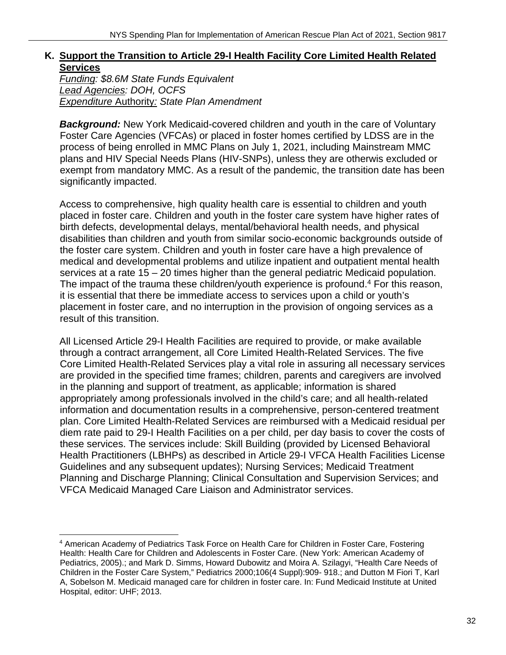## **K. Support the Transition to Article 29-I Health Facility Core Limited Health Related Services**

*Funding: \$8.6M State Funds Equivalent Lead Agencies: DOH, OCFS Expenditure* Authority*: State Plan Amendment* 

**Background:** New York Medicaid-covered children and youth in the care of Voluntary Foster Care Agencies (VFCAs) or placed in foster homes certified by LDSS are in the process of being enrolled in MMC Plans on July 1, 2021, including Mainstream MMC plans and HIV Special Needs Plans (HIV-SNPs), unless they are otherwis excluded or exempt from mandatory MMC. As a result of the pandemic, the transition date has been significantly impacted.

Access to comprehensive, high quality health care is essential to children and youth placed in foster care. Children and youth in the foster care system have higher rates of birth defects, developmental delays, mental/behavioral health needs, and physical disabilities than children and youth from similar socio-economic backgrounds outside of the foster care system. Children and youth in foster care have a high prevalence of medical and developmental problems and utilize inpatient and outpatient mental health services at a rate 15 – 20 times higher than the general pediatric Medicaid population. The impact of the trauma these children/youth experience is profound.<sup>4</sup> For this reason, it is essential that there be immediate access to services upon a child or youth's placement in foster care, and no interruption in the provision of ongoing services as a result of this transition.

All Licensed Article 29-I Health Facilities are required to provide, or make available through a contract arrangement, all Core Limited Health-Related Services. The five Core Limited Health-Related Services play a vital role in assuring all necessary services are provided in the specified time frames; children, parents and caregivers are involved in the planning and support of treatment, as applicable; information is shared appropriately among professionals involved in the child's care; and all health-related information and documentation results in a comprehensive, person-centered treatment plan. Core Limited Health-Related Services are reimbursed with a Medicaid residual per diem rate paid to 29-I Health Facilities on a per child, per day basis to cover the costs of these services. The services include: Skill Building (provided by Licensed Behavioral Health Practitioners (LBHPs) as described in Article 29-I VFCA Health Facilities License Guidelines and any subsequent updates); Nursing Services; Medicaid Treatment Planning and Discharge Planning; Clinical Consultation and Supervision Services; and VFCA Medicaid Managed Care Liaison and Administrator services.

<sup>4</sup> American Academy of Pediatrics Task Force on Health Care for Children in Foster Care, Fostering Health: Health Care for Children and Adolescents in Foster Care. (New York: American Academy of Pediatrics, 2005).; and Mark D. Simms, Howard Dubowitz and Moira A. Szilagyi, "Health Care Needs of Children in the Foster Care System," Pediatrics 2000;106(4 Suppl):909- 918.; and Dutton M Fiori T, Karl A, Sobelson M. Medicaid managed care for children in foster care. In: Fund Medicaid Institute at United Hospital, editor: UHF; 2013.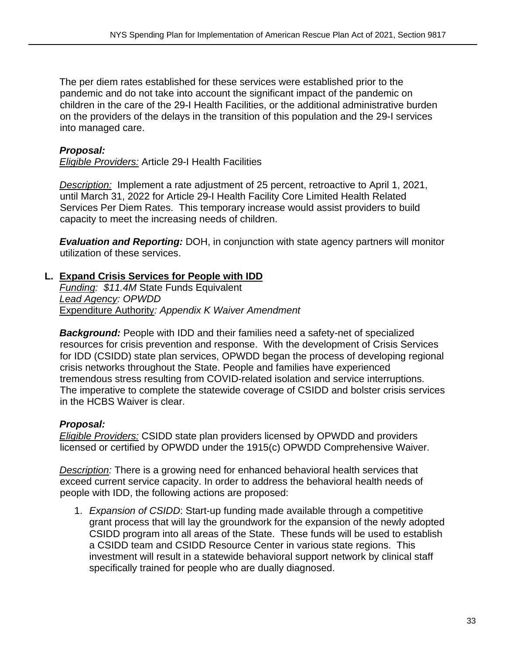The per diem rates established for these services were established prior to the pandemic and do not take into account the significant impact of the pandemic on children in the care of the 29-I Health Facilities, or the additional administrative burden on the providers of the delays in the transition of this population and the 29-I services into managed care.

#### *Proposal:*

*Eligible Providers:* Article 29-I Health Facilities

*Description:* Implement a rate adjustment of 25 percent, retroactive to April 1, 2021, until March 31, 2022 for Article 29-I Health Facility Core Limited Health Related Services Per Diem Rates. This temporary increase would assist providers to build capacity to meet the increasing needs of children.

*Evaluation and Reporting:* DOH, in conjunction with state agency partners will monitor utilization of these services.

#### **L. Expand Crisis Services for People with IDD**

*Funding: \$11.4M* State Funds Equivalent *Lead Agency: OPWDD*  Expenditure Authority*: Appendix K Waiver Amendment* 

**Background:** People with IDD and their families need a safety-net of specialized resources for crisis prevention and response. With the development of Crisis Services for IDD (CSIDD) state plan services, OPWDD began the process of developing regional crisis networks throughout the State. People and families have experienced tremendous stress resulting from COVID-related isolation and service interruptions. The imperative to complete the statewide coverage of CSIDD and bolster crisis services in the HCBS Waiver is clear.

#### *Proposal:*

*Eligible Providers:* CSIDD state plan providers licensed by OPWDD and providers licensed or certified by OPWDD under the 1915(c) OPWDD Comprehensive Waiver.

*Description:* There is a growing need for enhanced behavioral health services that exceed current service capacity. In order to address the behavioral health needs of people with IDD, the following actions are proposed:

1. *Expansion of CSIDD*: Start-up funding made available through a competitive grant process that will lay the groundwork for the expansion of the newly adopted CSIDD program into all areas of the State. These funds will be used to establish a CSIDD team and CSIDD Resource Center in various state regions. This investment will result in a statewide behavioral support network by clinical staff specifically trained for people who are dually diagnosed.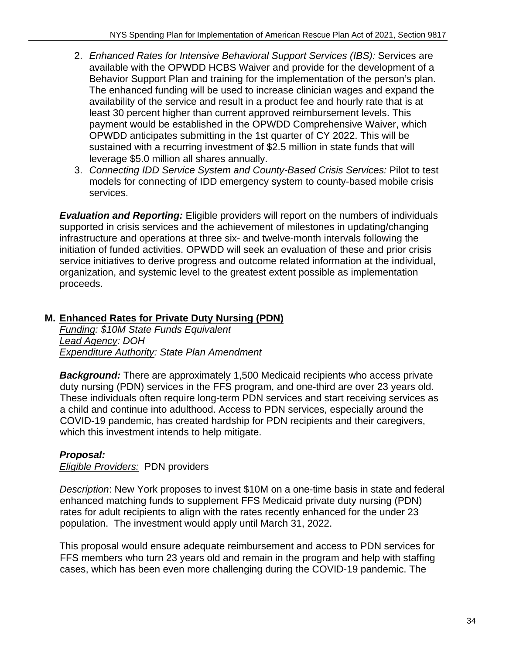- 2. *Enhanced Rates for Intensive Behavioral Support Services (IBS):* Services are available with the OPWDD HCBS Waiver and provide for the development of a Behavior Support Plan and training for the implementation of the person's plan. The enhanced funding will be used to increase clinician wages and expand the availability of the service and result in a product fee and hourly rate that is at least 30 percent higher than current approved reimbursement levels. This payment would be established in the OPWDD Comprehensive Waiver, which OPWDD anticipates submitting in the 1st quarter of CY 2022. This will be sustained with a recurring investment of \$2.5 million in state funds that will leverage \$5.0 million all shares annually.
- 3. *Connecting IDD Service System and County-Based Crisis Services:* Pilot to test models for connecting of IDD emergency system to county-based mobile crisis services.

*Evaluation and Reporting:* Eligible providers will report on the numbers of individuals supported in crisis services and the achievement of milestones in updating/changing infrastructure and operations at three six- and twelve-month intervals following the initiation of funded activities. OPWDD will seek an evaluation of these and prior crisis service initiatives to derive progress and outcome related information at the individual, organization, and systemic level to the greatest extent possible as implementation proceeds.

## **M. Enhanced Rates for Private Duty Nursing (PDN)**

*Funding: \$10M State Funds Equivalent Lead Agency: DOH Expenditure Authority: State Plan Amendment* 

**Background:** There are approximately 1,500 Medicaid recipients who access private duty nursing (PDN) services in the FFS program, and one-third are over 23 years old. These individuals often require long-term PDN services and start receiving services as a child and continue into adulthood. Access to PDN services, especially around the COVID-19 pandemic, has created hardship for PDN recipients and their caregivers, which this investment intends to help mitigate.

## *Proposal:*

*Eligible Providers:* PDN providers

*Description*: New York proposes to invest \$10M on a one-time basis in state and federal enhanced matching funds to supplement FFS Medicaid private duty nursing (PDN) rates for adult recipients to align with the rates recently enhanced for the under 23 population. The investment would apply until March 31, 2022.

This proposal would ensure adequate reimbursement and access to PDN services for FFS members who turn 23 years old and remain in the program and help with staffing cases, which has been even more challenging during the COVID-19 pandemic. The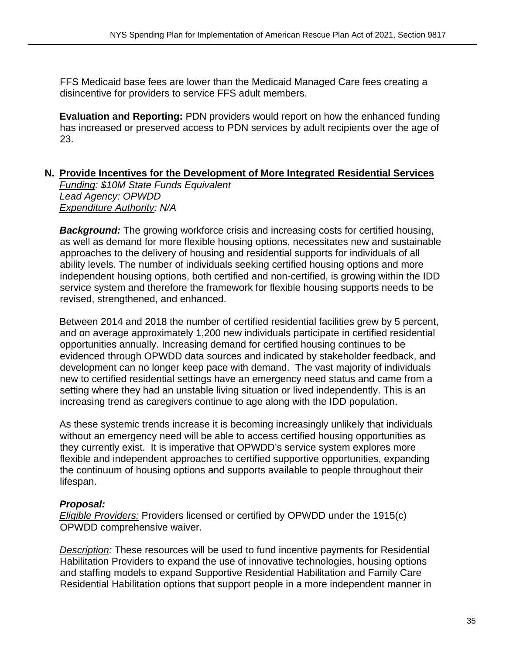FFS Medicaid base fees are lower than the Medicaid Managed Care fees creating a disincentive for providers to service FFS adult members.

**Evaluation and Reporting:** PDN providers would report on how the enhanced funding has increased or preserved access to PDN services by adult recipients over the age of 23.

#### **N. Provide Incentives for the Development of More Integrated Residential Services**

*Funding: \$10M State Funds Equivalent Lead Agency: OPWDD Expenditure Authority: N/A* 

**Background:** The growing workforce crisis and increasing costs for certified housing, as well as demand for more flexible housing options, necessitates new and sustainable approaches to the delivery of housing and residential supports for individuals of all ability levels. The number of individuals seeking certified housing options and more independent housing options, both certified and non-certified, is growing within the IDD service system and therefore the framework for flexible housing supports needs to be revised, strengthened, and enhanced.

Between 2014 and 2018 the number of certified residential facilities grew by 5 percent, and on average approximately 1,200 new individuals participate in certified residential opportunities annually. Increasing demand for certified housing continues to be evidenced through OPWDD data sources and indicated by stakeholder feedback, and development can no longer keep pace with demand. The vast majority of individuals new to certified residential settings have an emergency need status and came from a setting where they had an unstable living situation or lived independently. This is an increasing trend as caregivers continue to age along with the IDD population.

As these systemic trends increase it is becoming increasingly unlikely that individuals without an emergency need will be able to access certified housing opportunities as they currently exist. It is imperative that OPWDD's service system explores more flexible and independent approaches to certified supportive opportunities, expanding the continuum of housing options and supports available to people throughout their lifespan.

#### *Proposal:*

*Eligible Providers:* Providers licensed or certified by OPWDD under the 1915(c) OPWDD comprehensive waiver.

*Description:* These resources will be used to fund incentive payments for Residential Habilitation Providers to expand the use of innovative technologies, housing options and staffing models to expand Supportive Residential Habilitation and Family Care Residential Habilitation options that support people in a more independent manner in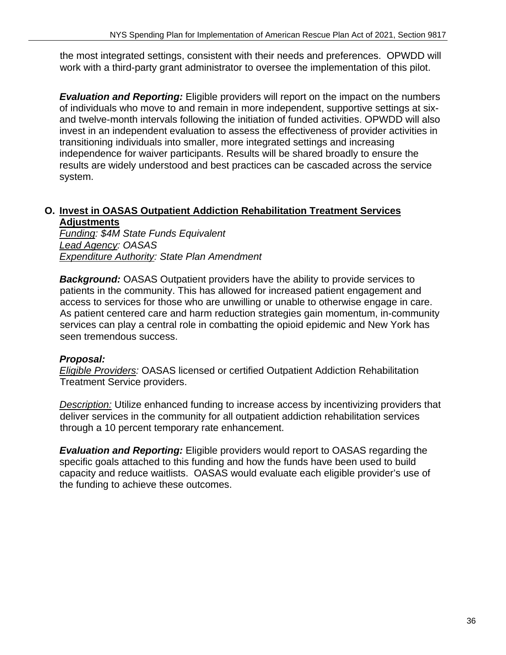the most integrated settings, consistent with their needs and preferences. OPWDD will work with a third-party grant administrator to oversee the implementation of this pilot.

*Evaluation and Reporting:* Eligible providers will report on the impact on the numbers of individuals who move to and remain in more independent, supportive settings at sixand twelve-month intervals following the initiation of funded activities. OPWDD will also invest in an independent evaluation to assess the effectiveness of provider activities in transitioning individuals into smaller, more integrated settings and increasing independence for waiver participants. Results will be shared broadly to ensure the results are widely understood and best practices can be cascaded across the service system.

#### **O. Invest in OASAS Outpatient Addiction Rehabilitation Treatment Services Adjustments**

*Funding: \$4M State Funds Equivalent Lead Agency: OASAS Expenditure Authority: State Plan Amendment* 

*Background:* OASAS Outpatient providers have the ability to provide services to patients in the community. This has allowed for increased patient engagement and access to services for those who are unwilling or unable to otherwise engage in care. As patient centered care and harm reduction strategies gain momentum, in-community services can play a central role in combatting the opioid epidemic and New York has seen tremendous success.

#### *Proposal:*

*Eligible Providers:* OASAS licensed or certified Outpatient Addiction Rehabilitation Treatment Service providers.

*Description:* Utilize enhanced funding to increase access by incentivizing providers that deliver services in the community for all outpatient addiction rehabilitation services through a 10 percent temporary rate enhancement.

*Evaluation and Reporting:* Eligible providers would report to OASAS regarding the specific goals attached to this funding and how the funds have been used to build capacity and reduce waitlists. OASAS would evaluate each eligible provider's use of the funding to achieve these outcomes.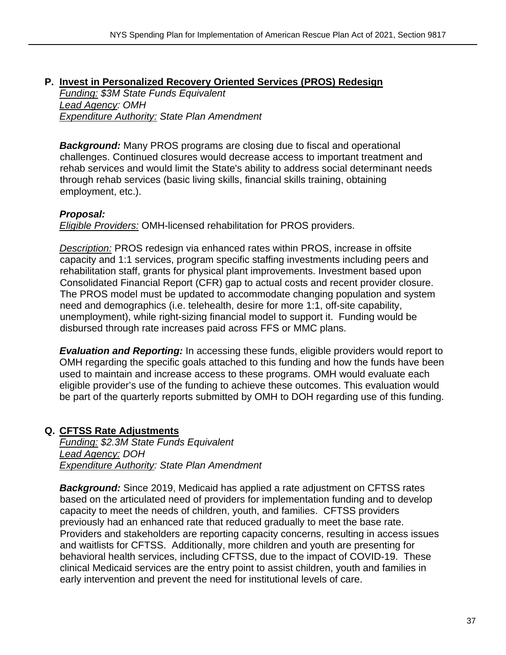#### **P. Invest in Personalized Recovery Oriented Services (PROS) Redesign**

*Funding: \$3M State Funds Equivalent Lead Agency: OMH Expenditure Authority: State Plan Amendment* 

*Background:* Many PROS programs are closing due to fiscal and operational challenges. Continued closures would decrease access to important treatment and rehab services and would limit the State's ability to address social determinant needs through rehab services (basic living skills, financial skills training, obtaining employment, etc.).

#### *Proposal:*

*Eligible Providers:* OMH-licensed rehabilitation for PROS providers.

*Description:* PROS redesign via enhanced rates within PROS, increase in offsite capacity and 1:1 services, program specific staffing investments including peers and rehabilitation staff, grants for physical plant improvements. Investment based upon Consolidated Financial Report (CFR) gap to actual costs and recent provider closure. The PROS model must be updated to accommodate changing population and system need and demographics (i.e. telehealth, desire for more 1:1, off-site capability, unemployment), while right-sizing financial model to support it. Funding would be disbursed through rate increases paid across FFS or MMC plans.

*Evaluation and Reporting:* In accessing these funds, eligible providers would report to OMH regarding the specific goals attached to this funding and how the funds have been used to maintain and increase access to these programs. OMH would evaluate each eligible provider's use of the funding to achieve these outcomes. This evaluation would be part of the quarterly reports submitted by OMH to DOH regarding use of this funding.

#### **Q. CFTSS Rate Adjustments**

*Funding: \$2.3M State Funds Equivalent Lead Agency: DOH Expenditure Authority: State Plan Amendment* 

*Background:* Since 2019, Medicaid has applied a rate adjustment on CFTSS rates based on the articulated need of providers for implementation funding and to develop capacity to meet the needs of children, youth, and families. CFTSS providers previously had an enhanced rate that reduced gradually to meet the base rate. Providers and stakeholders are reporting capacity concerns, resulting in access issues and waitlists for CFTSS. Additionally, more children and youth are presenting for behavioral health services, including CFTSS, due to the impact of COVID-19. These clinical Medicaid services are the entry point to assist children, youth and families in early intervention and prevent the need for institutional levels of care.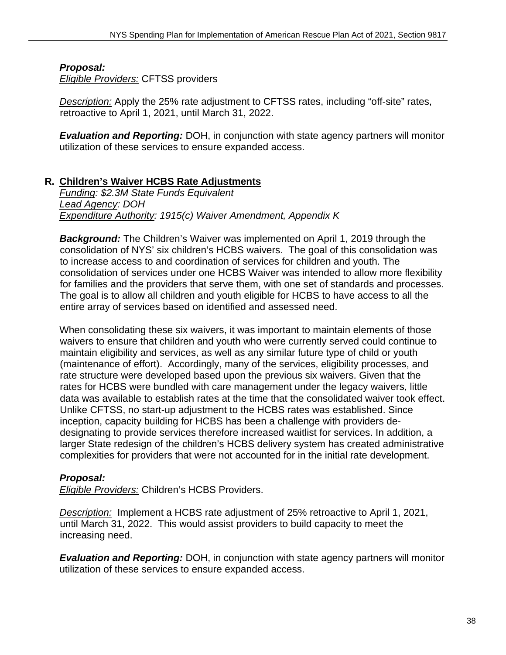#### *Proposal:*

*Eligible Providers:* CFTSS providers

*Description:* Apply the 25% rate adjustment to CFTSS rates, including "off-site" rates, retroactive to April 1, 2021, until March 31, 2022.

*Evaluation and Reporting:* DOH, in conjunction with state agency partners will monitor utilization of these services to ensure expanded access.

#### **R. Children's Waiver HCBS Rate Adjustments**

*Funding: \$2.3M State Funds Equivalent Lead Agency: DOH Expenditure Authority: 1915(c) Waiver Amendment, Appendix K* 

*Background:* The Children's Waiver was implemented on April 1, 2019 through the consolidation of NYS' six children's HCBS waivers. The goal of this consolidation was to increase access to and coordination of services for children and youth. The consolidation of services under one HCBS Waiver was intended to allow more flexibility for families and the providers that serve them, with one set of standards and processes. The goal is to allow all children and youth eligible for HCBS to have access to all the entire array of services based on identified and assessed need.

When consolidating these six waivers, it was important to maintain elements of those waivers to ensure that children and youth who were currently served could continue to maintain eligibility and services, as well as any similar future type of child or youth (maintenance of effort). Accordingly, many of the services, eligibility processes, and rate structure were developed based upon the previous six waivers. Given that the rates for HCBS were bundled with care management under the legacy waivers, little data was available to establish rates at the time that the consolidated waiver took effect. Unlike CFTSS, no start-up adjustment to the HCBS rates was established. Since inception, capacity building for HCBS has been a challenge with providers dedesignating to provide services therefore increased waitlist for services. In addition, a larger State redesign of the children's HCBS delivery system has created administrative complexities for providers that were not accounted for in the initial rate development.

#### *Proposal:*

*Eligible Providers:* Children's HCBS Providers.

*Description:* Implement a HCBS rate adjustment of 25% retroactive to April 1, 2021, until March 31, 2022. This would assist providers to build capacity to meet the increasing need.

*Evaluation and Reporting:* DOH, in conjunction with state agency partners will monitor utilization of these services to ensure expanded access.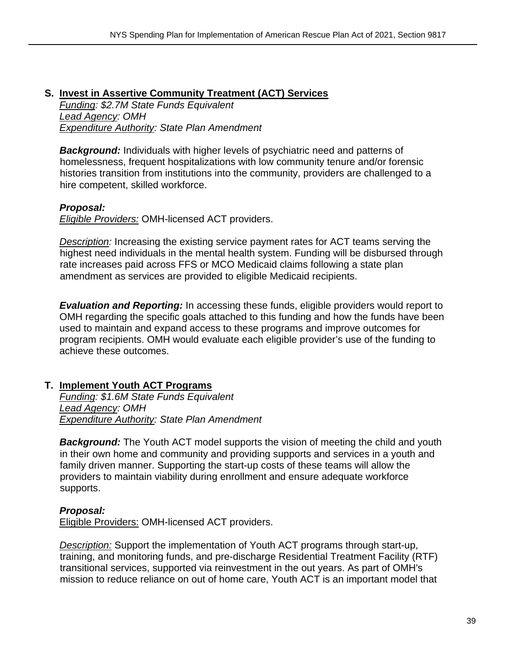## **S. Invest in Assertive Community Treatment (ACT) Services**

*Funding: \$2.7M State Funds Equivalent Lead Agency: OMH Expenditure Authority: State Plan Amendment* 

**Background:** Individuals with higher levels of psychiatric need and patterns of homelessness, frequent hospitalizations with low community tenure and/or forensic histories transition from institutions into the community, providers are challenged to a hire competent, skilled workforce.

#### *Proposal:*

*Eligible Providers:* OMH-licensed ACT providers.

*Description:* Increasing the existing service payment rates for ACT teams serving the highest need individuals in the mental health system. Funding will be disbursed through rate increases paid across FFS or MCO Medicaid claims following a state plan amendment as services are provided to eligible Medicaid recipients.

*Evaluation and Reporting:* In accessing these funds, eligible providers would report to OMH regarding the specific goals attached to this funding and how the funds have been used to maintain and expand access to these programs and improve outcomes for program recipients. OMH would evaluate each eligible provider's use of the funding to achieve these outcomes.

#### **T. Implement Youth ACT Programs**

*Funding: \$1.6M State Funds Equivalent Lead Agency: OMH Expenditure Authority: State Plan Amendment* 

**Background:** The Youth ACT model supports the vision of meeting the child and youth in their own home and community and providing supports and services in a youth and family driven manner. Supporting the start-up costs of these teams will allow the providers to maintain viability during enrollment and ensure adequate workforce supports.

#### *Proposal:*

Eligible Providers: OMH-licensed ACT providers.

*Description:* Support the implementation of Youth ACT programs through start-up, training, and monitoring funds, and pre-discharge Residential Treatment Facility (RTF) transitional services, supported via reinvestment in the out years. As part of OMH's mission to reduce reliance on out of home care, Youth ACT is an important model that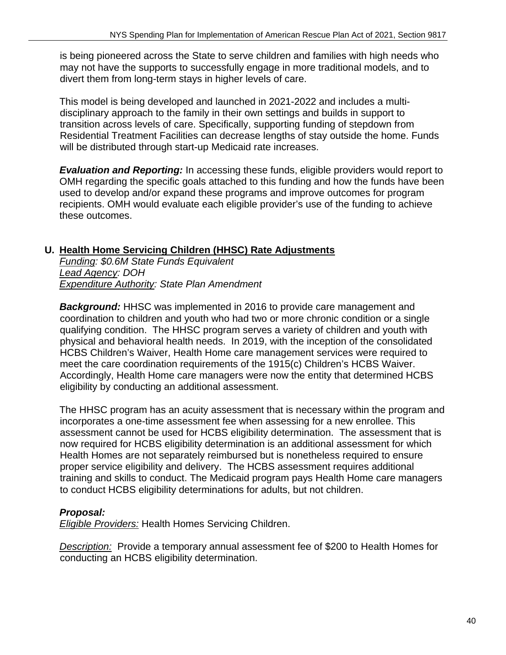is being pioneered across the State to serve children and families with high needs who may not have the supports to successfully engage in more traditional models, and to divert them from long-term stays in higher levels of care.

This model is being developed and launched in 2021-2022 and includes a multidisciplinary approach to the family in their own settings and builds in support to transition across levels of care. Specifically, supporting funding of stepdown from Residential Treatment Facilities can decrease lengths of stay outside the home. Funds will be distributed through start-up Medicaid rate increases.

*Evaluation and Reporting:* In accessing these funds, eligible providers would report to OMH regarding the specific goals attached to this funding and how the funds have been used to develop and/or expand these programs and improve outcomes for program recipients. OMH would evaluate each eligible provider's use of the funding to achieve these outcomes.

#### **U. Health Home Servicing Children (HHSC) Rate Adjustments**

*Funding: \$0.6M State Funds Equivalent Lead Agency: DOH Expenditure Authority: State Plan Amendment* 

*Background:* HHSC was implemented in 2016 to provide care management and coordination to children and youth who had two or more chronic condition or a single qualifying condition. The HHSC program serves a variety of children and youth with physical and behavioral health needs. In 2019, with the inception of the consolidated HCBS Children's Waiver, Health Home care management services were required to meet the care coordination requirements of the 1915(c) Children's HCBS Waiver. Accordingly, Health Home care managers were now the entity that determined HCBS eligibility by conducting an additional assessment.

The HHSC program has an acuity assessment that is necessary within the program and incorporates a one-time assessment fee when assessing for a new enrollee. This assessment cannot be used for HCBS eligibility determination. The assessment that is now required for HCBS eligibility determination is an additional assessment for which Health Homes are not separately reimbursed but is nonetheless required to ensure proper service eligibility and delivery. The HCBS assessment requires additional training and skills to conduct. The Medicaid program pays Health Home care managers to conduct HCBS eligibility determinations for adults, but not children.

## *Proposal:*

*Eligible Providers:* Health Homes Servicing Children.

*Description:* Provide a temporary annual assessment fee of \$200 to Health Homes for conducting an HCBS eligibility determination.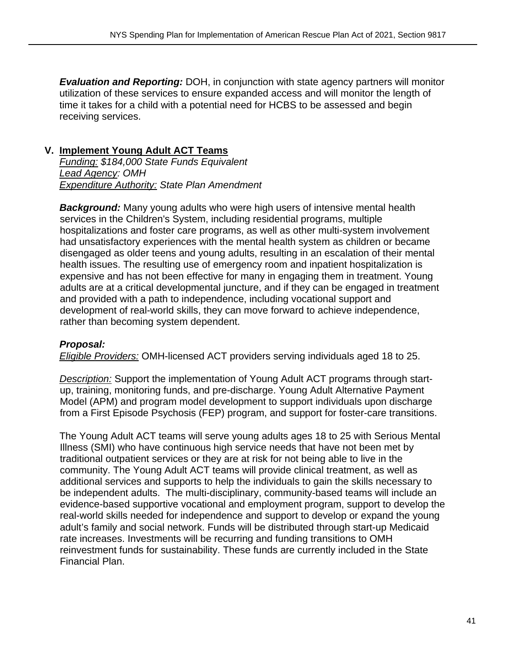*Evaluation and Reporting:* DOH, in conjunction with state agency partners will monitor utilization of these services to ensure expanded access and will monitor the length of time it takes for a child with a potential need for HCBS to be assessed and begin receiving services.

#### **V. Implement Young Adult ACT Teams**

*Funding: \$184,000 State Funds Equivalent Lead Agency: OMH Expenditure Authority: State Plan Amendment* 

**Background:** Many young adults who were high users of intensive mental health services in the Children's System, including residential programs, multiple hospitalizations and foster care programs, as well as other multi-system involvement had unsatisfactory experiences with the mental health system as children or became disengaged as older teens and young adults, resulting in an escalation of their mental health issues. The resulting use of emergency room and inpatient hospitalization is expensive and has not been effective for many in engaging them in treatment. Young adults are at a critical developmental juncture, and if they can be engaged in treatment and provided with a path to independence, including vocational support and development of real-world skills, they can move forward to achieve independence, rather than becoming system dependent.

#### *Proposal:*

*Eligible Providers:* OMH-licensed ACT providers serving individuals aged 18 to 25.

*Description:* Support the implementation of Young Adult ACT programs through startup, training, monitoring funds, and pre-discharge. Young Adult Alternative Payment Model (APM) and program model development to support individuals upon discharge from a First Episode Psychosis (FEP) program, and support for foster-care transitions.

The Young Adult ACT teams will serve young adults ages 18 to 25 with Serious Mental Illness (SMI) who have continuous high service needs that have not been met by traditional outpatient services or they are at risk for not being able to live in the community. The Young Adult ACT teams will provide clinical treatment, as well as additional services and supports to help the individuals to gain the skills necessary to be independent adults. The multi-disciplinary, community-based teams will include an evidence-based supportive vocational and employment program, support to develop the real-world skills needed for independence and support to develop or expand the young adult's family and social network. Funds will be distributed through start-up Medicaid rate increases. Investments will be recurring and funding transitions to OMH reinvestment funds for sustainability. These funds are currently included in the State Financial Plan.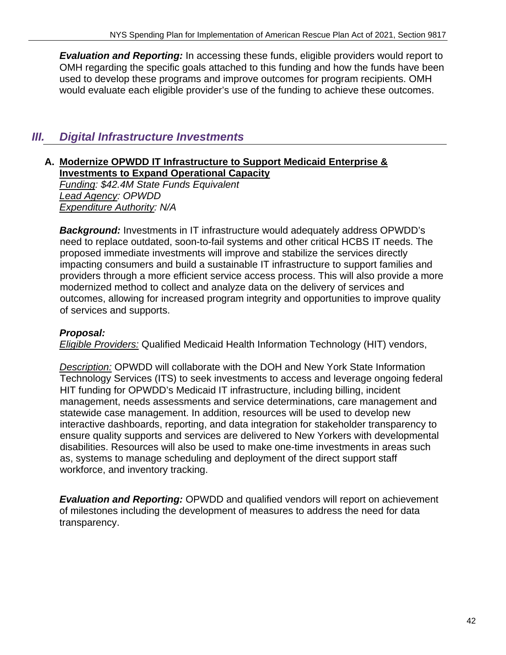*Evaluation and Reporting:* In accessing these funds, eligible providers would report to OMH regarding the specific goals attached to this funding and how the funds have been used to develop these programs and improve outcomes for program recipients. OMH would evaluate each eligible provider's use of the funding to achieve these outcomes.

## *III. Digital Infrastructure Investments*

#### **A. Modernize OPWDD IT Infrastructure to Support Medicaid Enterprise & Investments to Expand Operational Capacity**

*Funding: \$42.4M State Funds Equivalent Lead Agency: OPWDD Expenditure Authority: N/A* 

*Background:* Investments in IT infrastructure would adequately address OPWDD's need to replace outdated, soon-to-fail systems and other critical HCBS IT needs. The proposed immediate investments will improve and stabilize the services directly impacting consumers and build a sustainable IT infrastructure to support families and providers through a more efficient service access process. This will also provide a more modernized method to collect and analyze data on the delivery of services and outcomes, allowing for increased program integrity and opportunities to improve quality of services and supports.

#### *Proposal:*

*Eligible Providers:* Qualified Medicaid Health Information Technology (HIT) vendors,

*Description:* OPWDD will collaborate with the DOH and New York State Information Technology Services (ITS) to seek investments to access and leverage ongoing federal HIT funding for OPWDD's Medicaid IT infrastructure, including billing, incident management, needs assessments and service determinations, care management and statewide case management. In addition, resources will be used to develop new interactive dashboards, reporting, and data integration for stakeholder transparency to ensure quality supports and services are delivered to New Yorkers with developmental disabilities. Resources will also be used to make one-time investments in areas such as, systems to manage scheduling and deployment of the direct support staff workforce, and inventory tracking.

*Evaluation and Reporting:* OPWDD and qualified vendors will report on achievement of milestones including the development of measures to address the need for data transparency.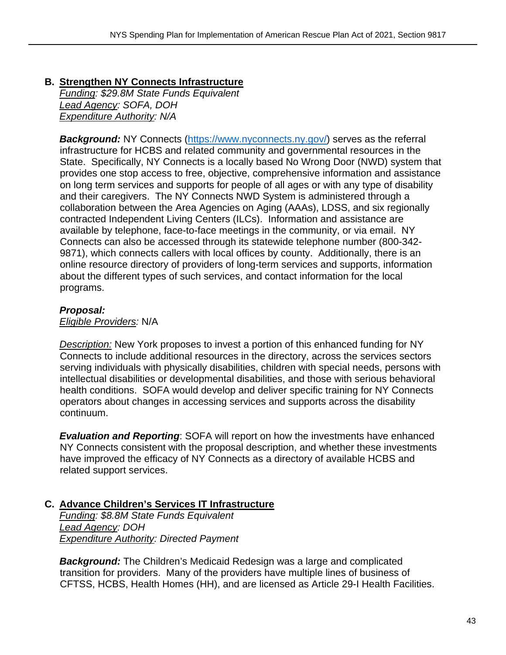## **B. Strengthen NY Connects Infrastructure**  *Funding: \$29.8M State Funds Equivalent*

*Lead Agency: SOFA, DOH Expenditure Authority: N/A* 

**Background:** NY Connects (https://www.nyconnects.ny.gov/) serves as the referral infrastructure for HCBS and related community and governmental resources in the State. Specifically, NY Connects is a locally based No Wrong Door (NWD) system that provides one stop access to free, objective, comprehensive information and assistance on long term services and supports for people of all ages or with any type of disability and their caregivers. The NY Connects NWD System is administered through a collaboration between the Area Agencies on Aging (AAAs), LDSS, and six regionally contracted Independent Living Centers (ILCs). Information and assistance are available by telephone, face-to-face meetings in the community, or via email. NY Connects can also be accessed through its statewide telephone number (800-342- 9871), which connects callers with local offices by county. Additionally, there is an online resource directory of providers of long-term services and supports, information about the different types of such services, and contact information for the local programs.

## *Proposal:*

*Eligible Providers:* N/A

*Description:* New York proposes to invest a portion of this enhanced funding for NY Connects to include additional resources in the directory, across the services sectors serving individuals with physically disabilities, children with special needs, persons with intellectual disabilities or developmental disabilities, and those with serious behavioral health conditions. SOFA would develop and deliver specific training for NY Connects operators about changes in accessing services and supports across the disability continuum.

*Evaluation and Reporting*: SOFA will report on how the investments have enhanced NY Connects consistent with the proposal description, and whether these investments have improved the efficacy of NY Connects as a directory of available HCBS and related support services.

## **C. Advance Children's Services IT Infrastructure**

*Funding: \$8.8M State Funds Equivalent Lead Agency: DOH Expenditure Authority: Directed Payment* 

*Background:* The Children's Medicaid Redesign was a large and complicated transition for providers. Many of the providers have multiple lines of business of CFTSS, HCBS, Health Homes (HH), and are licensed as Article 29-I Health Facilities.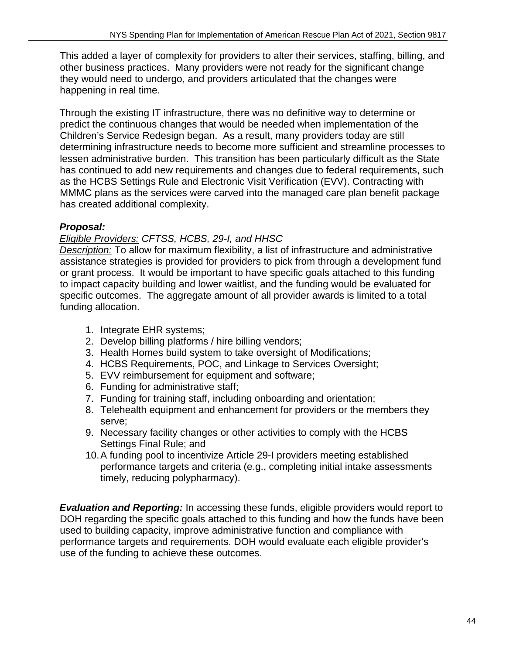This added a layer of complexity for providers to alter their services, staffing, billing, and other business practices. Many providers were not ready for the significant change they would need to undergo, and providers articulated that the changes were happening in real time.

Through the existing IT infrastructure, there was no definitive way to determine or predict the continuous changes that would be needed when implementation of the Children's Service Redesign began. As a result, many providers today are still determining infrastructure needs to become more sufficient and streamline processes to lessen administrative burden. This transition has been particularly difficult as the State has continued to add new requirements and changes due to federal requirements, such as the HCBS Settings Rule and Electronic Visit Verification (EVV). Contracting with MMMC plans as the services were carved into the managed care plan benefit package has created additional complexity.

## *Proposal:*

#### *Eligible Providers: CFTSS, HCBS, 29-I, and HHSC*

*Description:* To allow for maximum flexibility, a list of infrastructure and administrative assistance strategies is provided for providers to pick from through a development fund or grant process. It would be important to have specific goals attached to this funding to impact capacity building and lower waitlist, and the funding would be evaluated for specific outcomes. The aggregate amount of all provider awards is limited to a total funding allocation.

- 1. Integrate EHR systems;
- 2. Develop billing platforms / hire billing vendors;
- 3. Health Homes build system to take oversight of Modifications;
- 4. HCBS Requirements, POC, and Linkage to Services Oversight;
- 5. EVV reimbursement for equipment and software;
- 6. Funding for administrative staff;
- 7. Funding for training staff, including onboarding and orientation;
- 8. Telehealth equipment and enhancement for providers or the members they serve;
- 9. Necessary facility changes or other activities to comply with the HCBS Settings Final Rule; and
- 10. A funding pool to incentivize Article 29-I providers meeting established performance targets and criteria (e.g., completing initial intake assessments timely, reducing polypharmacy).

*Evaluation and Reporting:* In accessing these funds, eligible providers would report to DOH regarding the specific goals attached to this funding and how the funds have been used to building capacity, improve administrative function and compliance with performance targets and requirements. DOH would evaluate each eligible provider's use of the funding to achieve these outcomes.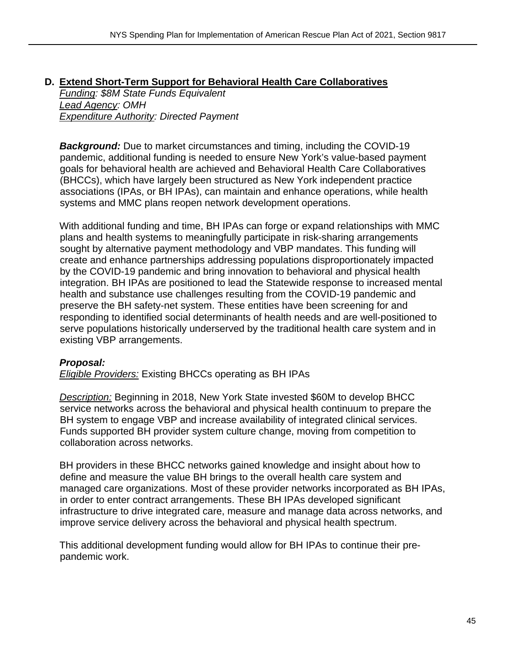#### **D. Extend Short-Term Support for Behavioral Health Care Collaboratives**

*Funding: \$8M State Funds Equivalent Lead Agency: OMH Expenditure Authority: Directed Payment*

**Background:** Due to market circumstances and timing, including the COVID-19 pandemic, additional funding is needed to ensure New York's value-based payment goals for behavioral health are achieved and Behavioral Health Care Collaboratives (BHCCs), which have largely been structured as New York independent practice associations (IPAs, or BH IPAs), can maintain and enhance operations, while health systems and MMC plans reopen network development operations.

With additional funding and time, BH IPAs can forge or expand relationships with MMC plans and health systems to meaningfully participate in risk-sharing arrangements sought by alternative payment methodology and VBP mandates. This funding will create and enhance partnerships addressing populations disproportionately impacted by the COVID-19 pandemic and bring innovation to behavioral and physical health integration. BH IPAs are positioned to lead the Statewide response to increased mental health and substance use challenges resulting from the COVID-19 pandemic and preserve the BH safety-net system. These entities have been screening for and responding to identified social determinants of health needs and are well-positioned to serve populations historically underserved by the traditional health care system and in existing VBP arrangements.

#### *Proposal:*

*Eligible Providers:* Existing BHCCs operating as BH IPAs

*Description:* Beginning in 2018, New York State invested \$60M to develop BHCC service networks across the behavioral and physical health continuum to prepare the BH system to engage VBP and increase availability of integrated clinical services. Funds supported BH provider system culture change, moving from competition to collaboration across networks.

BH providers in these BHCC networks gained knowledge and insight about how to define and measure the value BH brings to the overall health care system and managed care organizations. Most of these provider networks incorporated as BH IPAs, in order to enter contract arrangements. These BH IPAs developed significant infrastructure to drive integrated care, measure and manage data across networks, and improve service delivery across the behavioral and physical health spectrum.

This additional development funding would allow for BH IPAs to continue their prepandemic work.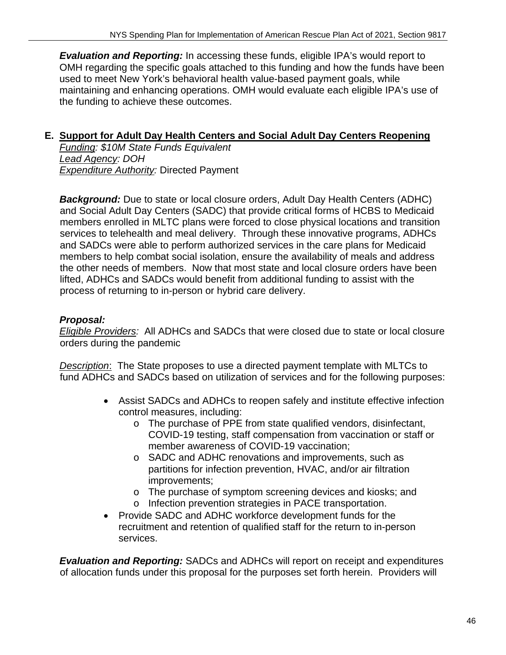*Evaluation and Reporting:* In accessing these funds, eligible IPA's would report to OMH regarding the specific goals attached to this funding and how the funds have been used to meet New York's behavioral health value-based payment goals, while maintaining and enhancing operations. OMH would evaluate each eligible IPA's use of the funding to achieve these outcomes.

## **E. Support for Adult Day Health Centers and Social Adult Day Centers Reopening**

*Funding: \$10M State Funds Equivalent Lead Agency: DOH Expenditure Authority:* Directed Payment

*Background:* Due to state or local closure orders, Adult Day Health Centers (ADHC) and Social Adult Day Centers (SADC) that provide critical forms of HCBS to Medicaid members enrolled in MLTC plans were forced to close physical locations and transition services to telehealth and meal delivery. Through these innovative programs, ADHCs and SADCs were able to perform authorized services in the care plans for Medicaid members to help combat social isolation, ensure the availability of meals and address the other needs of members. Now that most state and local closure orders have been lifted, ADHCs and SADCs would benefit from additional funding to assist with the process of returning to in-person or hybrid care delivery.

## *Proposal:*

*Eligible Providers:* All ADHCs and SADCs that were closed due to state or local closure orders during the pandemic

*Description*: The State proposes to use a directed payment template with MLTCs to fund ADHCs and SADCs based on utilization of services and for the following purposes:

- Assist SADCs and ADHCs to reopen safely and institute effective infection control measures, including:
	- o The purchase of PPE from state qualified vendors, disinfectant, COVID-19 testing, staff compensation from vaccination or staff or member awareness of COVID-19 vaccination;
	- o SADC and ADHC renovations and improvements, such as partitions for infection prevention, HVAC, and/or air filtration improvements;
	- o The purchase of symptom screening devices and kiosks; and
	- o Infection prevention strategies in PACE transportation.
- Provide SADC and ADHC workforce development funds for the recruitment and retention of qualified staff for the return to in-person services.

*Evaluation and Reporting:* SADCs and ADHCs will report on receipt and expenditures of allocation funds under this proposal for the purposes set forth herein. Providers will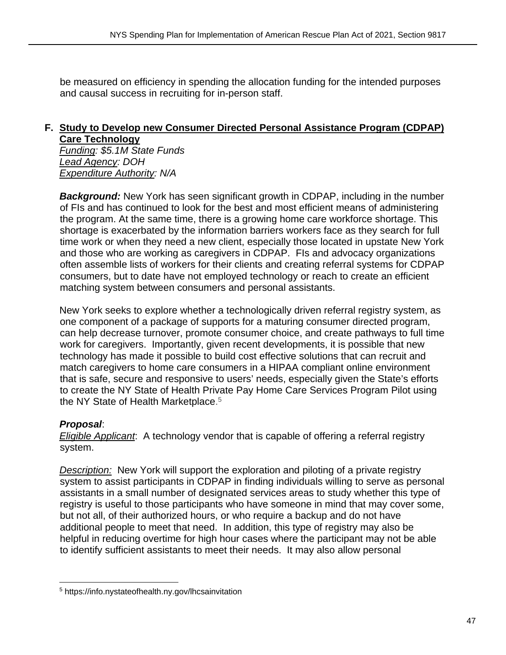be measured on efficiency in spending the allocation funding for the intended purposes and causal success in recruiting for in-person staff.

## **F. Study to Develop new Consumer Directed Personal Assistance Program (CDPAP) Care Technology**

*Funding: \$5.1M State Funds Lead Agency: DOH Expenditure Authority: N/A*

**Background:** New York has seen significant growth in CDPAP, including in the number of FIs and has continued to look for the best and most efficient means of administering the program. At the same time, there is a growing home care workforce shortage. This shortage is exacerbated by the information barriers workers face as they search for full time work or when they need a new client, especially those located in upstate New York and those who are working as caregivers in CDPAP. FIs and advocacy organizations often assemble lists of workers for their clients and creating referral systems for CDPAP consumers, but to date have not employed technology or reach to create an efficient matching system between consumers and personal assistants.

New York seeks to explore whether a technologically driven referral registry system, as one component of a package of supports for a maturing consumer directed program, can help decrease turnover, promote consumer choice, and create pathways to full time work for caregivers. Importantly, given recent developments, it is possible that new technology has made it possible to build cost effective solutions that can recruit and match caregivers to home care consumers in a HIPAA compliant online environment that is safe, secure and responsive to users' needs, especially given the State's efforts to create the NY State of Health Private Pay Home Care Services Program Pilot using the NY State of Health Marketplace.<sup>5</sup>

#### *Proposal*:

*Eligible Applicant*: A technology vendor that is capable of offering a referral registry system.

*Description:* New York will support the exploration and piloting of a private registry system to assist participants in CDPAP in finding individuals willing to serve as personal assistants in a small number of designated services areas to study whether this type of registry is useful to those participants who have someone in mind that may cover some, but not all, of their authorized hours, or who require a backup and do not have additional people to meet that need. In addition, this type of registry may also be helpful in reducing overtime for high hour cases where the participant may not be able to identify sufficient assistants to meet their needs. It may also allow personal

<sup>5</sup> https://info.nystateofhealth.ny.gov/lhcsainvitation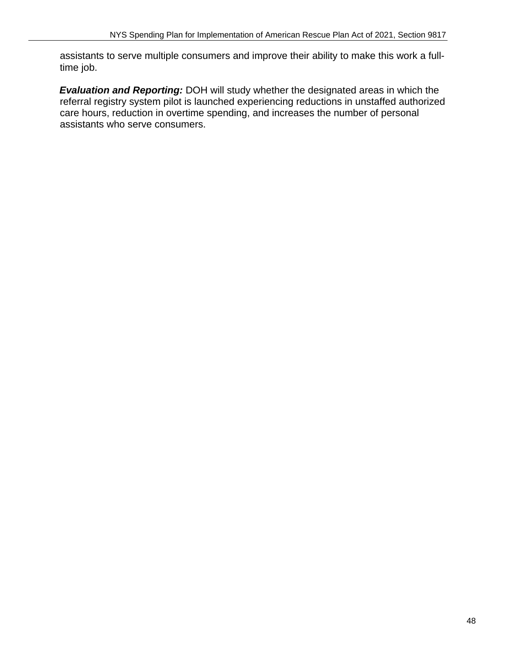assistants to serve multiple consumers and improve their ability to make this work a fulltime job.

*Evaluation and Reporting:* DOH will study whether the designated areas in which the referral registry system pilot is launched experiencing reductions in unstaffed authorized care hours, reduction in overtime spending, and increases the number of personal assistants who serve consumers.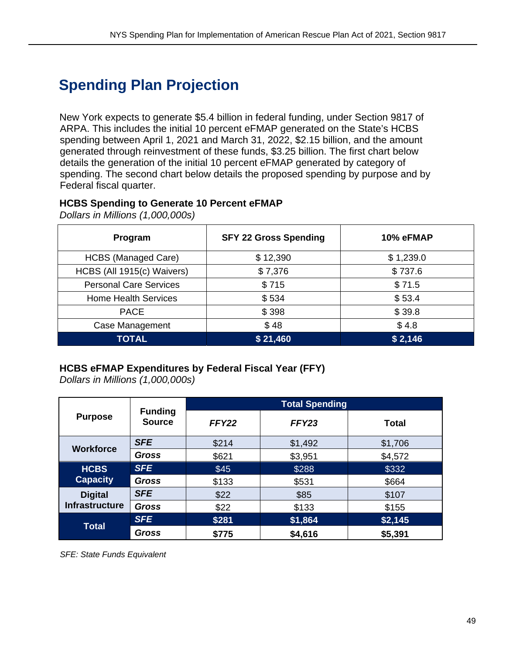## **Spending Plan Projection**

New York expects to generate \$5.4 billion in federal funding, under Section 9817 of ARPA. This includes the initial 10 percent eFMAP generated on the State's HCBS spending between April 1, 2021 and March 31, 2022, \$2.15 billion, and the amount generated through reinvestment of these funds, \$3.25 billion. The first chart below details the generation of the initial 10 percent eFMAP generated by category of spending. The second chart below details the proposed spending by purpose and by Federal fiscal quarter.

#### **HCBS Spending to Generate 10 Percent eFMAP**

**Program SFY 22 Gross Spending 10% eFMAP** HCBS (Managed Care)  $\uparrow$  \$ 12,390  $\uparrow$  \$ 1,239.0 HCBS (All 1915(c) Waivers)  $\begin{array}{ccc} \vert & \ \ \, & \ \ \, & \ \ \, & \ \ \, & \ \ \, & \ \ \, & \ \ \, & \ \ \, & \ \ \, & \ \ \, & \ \ \, & \ \ \, & \ \ \, & \ \ \, & \ \ \, & \ \ \, & \ \ \, & \ \ \, & \ \ \, & \ \ \, & \ \ \, & \ \ \, & \ \ \, & \ \ \, & \ \ \, & \ \ \, & \$ Personal Care Services **by State Services** \$ 71.5 Home Health Services **business and State State State State State State State State State State State State State** PACE \$398 \$39.8 Case Management  $\begin{array}{ccc} \bullet & \bullet & \bullet \\ \bullet & \bullet & \bullet \end{array}$  \$ 4.8 **TOTAL \$21,460** \$20,4460

*Dollars in Millions (1,000,000s)* 

#### **HCBS eFMAP Expenditures by Federal Fiscal Year (FFY)**

*Dollars in Millions (1,000,000s)* 

| <b>Purpose</b>                          | <b>Funding</b><br><b>Source</b> | <b>Total Spending</b> |         |         |
|-----------------------------------------|---------------------------------|-----------------------|---------|---------|
|                                         |                                 | FFY22                 | FFY23   | Total   |
| <b>Workforce</b>                        | <b>SFE</b>                      | \$214                 | \$1,492 | \$1,706 |
|                                         | <b>Gross</b>                    | \$621                 | \$3,951 | \$4,572 |
| <b>HCBS</b><br><b>Capacity</b>          | <b>SFE</b>                      | \$45                  | \$288   | \$332   |
|                                         | Gross                           | \$133                 | \$531   | \$664   |
| <b>Digital</b><br><b>Infrastructure</b> | <b>SFE</b>                      | \$22                  | \$85    | \$107   |
|                                         | <b>Gross</b>                    | \$22                  | \$133   | \$155   |
| <b>Total</b>                            | <b>SFE</b>                      | \$281                 | \$1,864 | \$2,145 |
|                                         | <b>Gross</b>                    | \$775                 | \$4,616 | \$5,391 |

*SFE: State Funds Equivalent*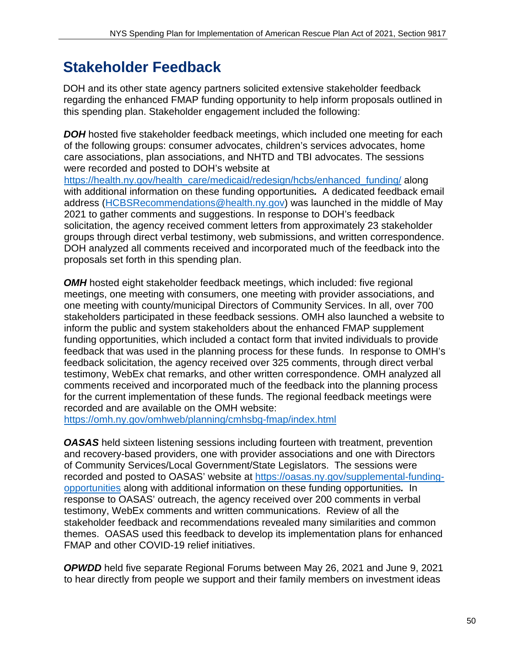## **Stakeholder Feedback**

DOH and its other state agency partners solicited extensive stakeholder feedback regarding the enhanced FMAP funding opportunity to help inform proposals outlined in this spending plan. Stakeholder engagement included the following:

**DOH** hosted five stakeholder feedback meetings, which included one meeting for each of the following groups: consumer advocates, children's services advocates, home care associations, plan associations, and NHTD and TBI advocates. The sessions were recorded and posted to DOH's website at

https://health.ny.gov/health\_care/medicaid/redesign/hcbs/enhanced\_funding/ along with additional information on these funding opportunities*.* A dedicated feedback email address (HCBSRecommendations@health.ny.gov) was launched in the middle of May 2021 to gather comments and suggestions. In response to DOH's feedback solicitation, the agency received comment letters from approximately 23 stakeholder groups through direct verbal testimony, web submissions, and written correspondence. DOH analyzed all comments received and incorporated much of the feedback into the proposals set forth in this spending plan.

*OMH* hosted eight stakeholder feedback meetings, which included: five regional meetings, one meeting with consumers, one meeting with provider associations, and one meeting with county/municipal Directors of Community Services. In all, over 700 stakeholders participated in these feedback sessions. OMH also launched a website to inform the public and system stakeholders about the enhanced FMAP supplement funding opportunities, which included a contact form that invited individuals to provide feedback that was used in the planning process for these funds. In response to OMH's feedback solicitation, the agency received over 325 comments, through direct verbal testimony, WebEx chat remarks, and other written correspondence. OMH analyzed all comments received and incorporated much of the feedback into the planning process for the current implementation of these funds. The regional feedback meetings were recorded and are available on the OMH website:

https://omh.ny.gov/omhweb/planning/cmhsbg-fmap/index.html

*OASAS* held sixteen listening sessions including fourteen with treatment, prevention and recovery-based providers, one with provider associations and one with Directors of Community Services/Local Government/State Legislators. The sessions were recorded and posted to OASAS' website at https://oasas.ny.gov/supplemental-fundingopportunities along with additional information on these funding opportunities*.* In response to OASAS' outreach, the agency received over 200 comments in verbal testimony, WebEx comments and written communications. Review of all the stakeholder feedback and recommendations revealed many similarities and common themes. OASAS used this feedback to develop its implementation plans for enhanced FMAP and other COVID-19 relief initiatives.

*OPWDD* held five separate Regional Forums between May 26, 2021 and June 9, 2021 to hear directly from people we support and their family members on investment ideas